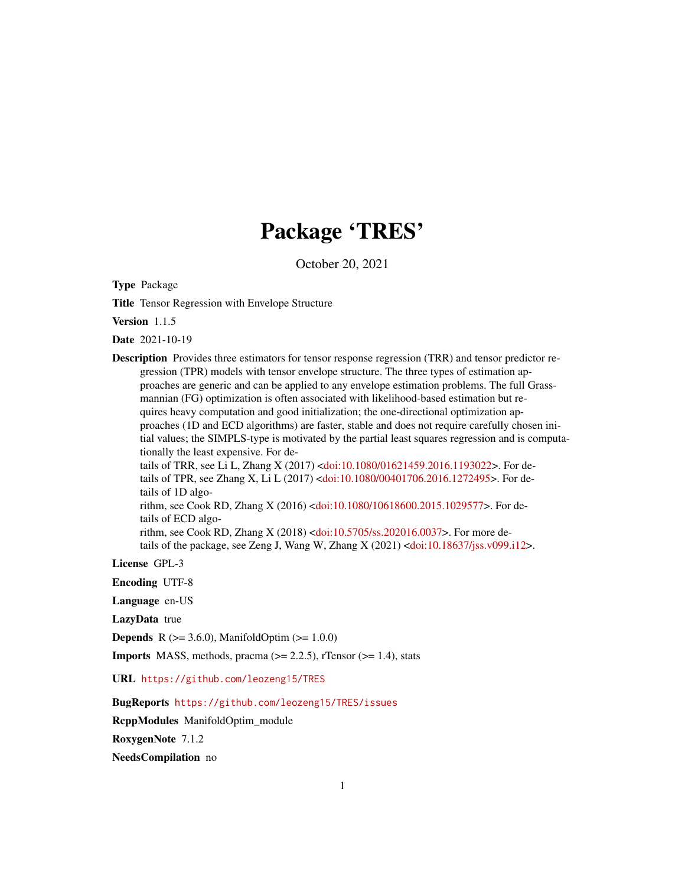# Package 'TRES'

October 20, 2021

<span id="page-0-0"></span>Type Package

Title Tensor Regression with Envelope Structure

Version 1.1.5

Date 2021-10-19

Description Provides three estimators for tensor response regression (TRR) and tensor predictor regression (TPR) models with tensor envelope structure. The three types of estimation approaches are generic and can be applied to any envelope estimation problems. The full Grassmannian (FG) optimization is often associated with likelihood-based estimation but requires heavy computation and good initialization; the one-directional optimization approaches (1D and ECD algorithms) are faster, stable and does not require carefully chosen initial values; the SIMPLS-type is motivated by the partial least squares regression and is computationally the least expensive. For details of TRR, see Li L, Zhang X (2017) [<doi:10.1080/01621459.2016.1193022>](https://doi.org/10.1080/01621459.2016.1193022). For details of TPR, see Zhang X, Li L (2017) [<doi:10.1080/00401706.2016.1272495>](https://doi.org/10.1080/00401706.2016.1272495). For details of 1D algorithm, see Cook RD, Zhang X (2016) [<doi:10.1080/10618600.2015.1029577>](https://doi.org/10.1080/10618600.2015.1029577). For details of ECD algo-

rithm, see Cook RD, Zhang X (2018) [<doi:10.5705/ss.202016.0037>](https://doi.org/10.5705/ss.202016.0037). For more details of the package, see Zeng J, Wang W, Zhang X (2021) [<doi:10.18637/jss.v099.i12>](https://doi.org/10.18637/jss.v099.i12).

License GPL-3

Encoding UTF-8

Language en-US

LazyData true

**Depends** R ( $>= 3.6.0$ ), ManifoldOptim ( $>= 1.0.0$ )

**Imports** MASS, methods, pracma  $(>= 2.2.5)$ , rTensor  $(>= 1.4)$ , stats

URL <https://github.com/leozeng15/TRES>

BugReports <https://github.com/leozeng15/TRES/issues>

RcppModules ManifoldOptim\_module

RoxygenNote 7.1.2

NeedsCompilation no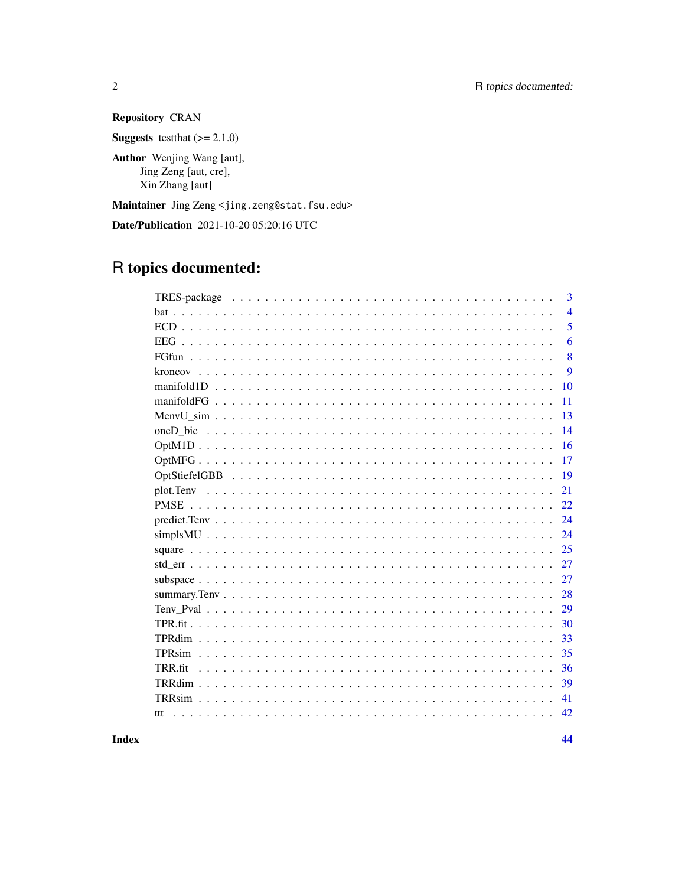**Repository CRAN** 

**Suggests** test that  $(>= 2.1.0)$ 

Author Wenjing Wang [aut], Jing Zeng [aut, cre], Xin Zhang [aut]

Maintainer Jing Zeng <jing.zeng@stat.fsu.edu>

Date/Publication 2021-10-20 05:20:16 UTC

## R topics documented:

|               | 3              |
|---------------|----------------|
|               | $\overline{4}$ |
|               | 5              |
| <b>EEG</b>    | 6              |
|               | 8              |
| kroncov       | 9              |
|               | 10             |
|               | 11             |
|               | 13             |
|               | 14             |
|               | 16             |
|               | 17             |
|               | 19             |
| plot.Teny     | 21             |
| <b>PMSE</b>   | 22             |
|               | 24             |
|               | 24             |
|               | 25             |
|               | 27             |
|               | 27             |
|               | 28             |
|               | 29             |
| TPR.fit.      | 30             |
|               | 33             |
| TPRsim        | 35             |
| TRR fit       | 36             |
|               | 39             |
| <b>TRRsim</b> | 41             |
| ttt           | 42             |
|               |                |

**Index**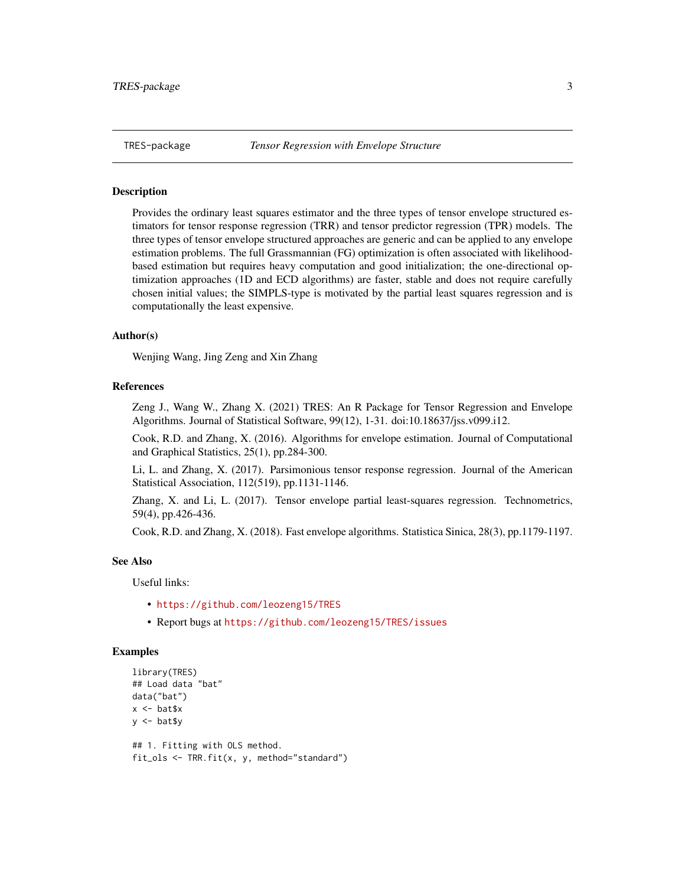<span id="page-2-0"></span>

Provides the ordinary least squares estimator and the three types of tensor envelope structured estimators for tensor response regression (TRR) and tensor predictor regression (TPR) models. The three types of tensor envelope structured approaches are generic and can be applied to any envelope estimation problems. The full Grassmannian (FG) optimization is often associated with likelihoodbased estimation but requires heavy computation and good initialization; the one-directional optimization approaches (1D and ECD algorithms) are faster, stable and does not require carefully chosen initial values; the SIMPLS-type is motivated by the partial least squares regression and is computationally the least expensive.

#### Author(s)

Wenjing Wang, Jing Zeng and Xin Zhang

#### References

Zeng J., Wang W., Zhang X. (2021) TRES: An R Package for Tensor Regression and Envelope Algorithms. Journal of Statistical Software, 99(12), 1-31. doi:10.18637/jss.v099.i12.

Cook, R.D. and Zhang, X. (2016). Algorithms for envelope estimation. Journal of Computational and Graphical Statistics, 25(1), pp.284-300.

Li, L. and Zhang, X. (2017). Parsimonious tensor response regression. Journal of the American Statistical Association, 112(519), pp.1131-1146.

Zhang, X. and Li, L. (2017). Tensor envelope partial least-squares regression. Technometrics, 59(4), pp.426-436.

Cook, R.D. and Zhang, X. (2018). Fast envelope algorithms. Statistica Sinica, 28(3), pp.1179-1197.

#### See Also

Useful links:

- <https://github.com/leozeng15/TRES>
- Report bugs at <https://github.com/leozeng15/TRES/issues>

#### Examples

```
library(TRES)
## Load data "bat"
data("bat")
x <- bat$x
y \leftarrow \text{bat$y}## 1. Fitting with OLS method.
```
fit\_ols <- TRR.fit(x, y, method="standard")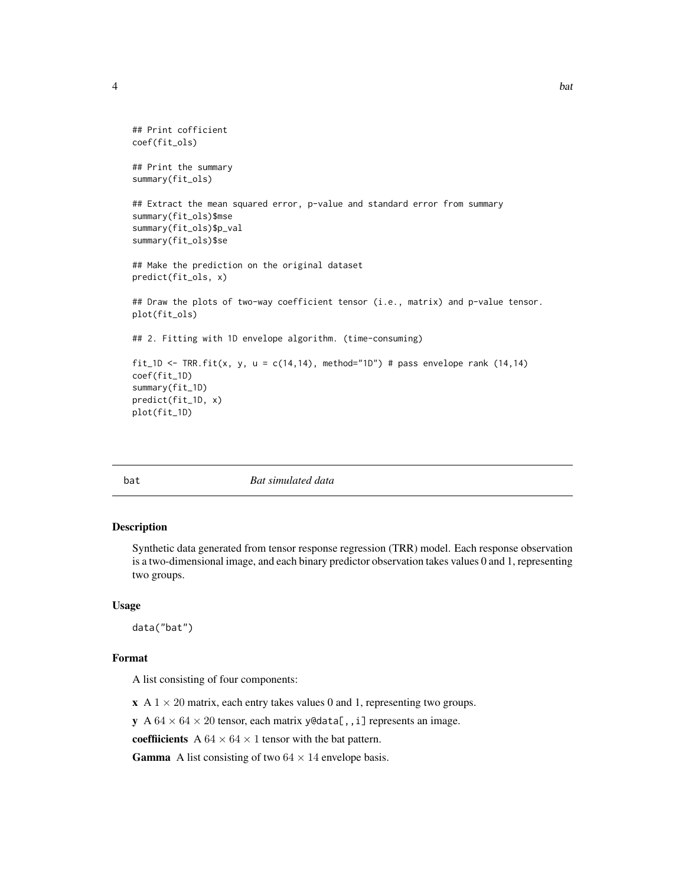```
## Print cofficient
coef(fit_ols)
## Print the summary
summary(fit_ols)
## Extract the mean squared error, p-value and standard error from summary
summary(fit_ols)$mse
summary(fit_ols)$p_val
summary(fit_ols)$se
## Make the prediction on the original dataset
predict(fit_ols, x)
## Draw the plots of two-way coefficient tensor (i.e., matrix) and p-value tensor.
plot(fit_ols)
## 2. Fitting with 1D envelope algorithm. (time-consuming)
fit_1D <- TRR.fit(x, y, u = c(14,14), method="1D") # pass envelope rank (14,14)
coef(fit_1D)
summary(fit_1D)
predict(fit_1D, x)
plot(fit_1D)
```
bat *Bat simulated data*

#### Description

Synthetic data generated from tensor response regression (TRR) model. Each response observation is a two-dimensional image, and each binary predictor observation takes values 0 and 1, representing two groups.

#### Usage

data("bat")

#### Format

A list consisting of four components:

 $\mathbf{x}$  A 1  $\times$  20 matrix, each entry takes values 0 and 1, representing two groups.

y A  $64 \times 64 \times 20$  tensor, each matrix y@data[,, i] represents an image.

coeffiicients A  $64 \times 64 \times 1$  tensor with the bat pattern.

**Gamma** A list consisting of two  $64 \times 14$  envelope basis.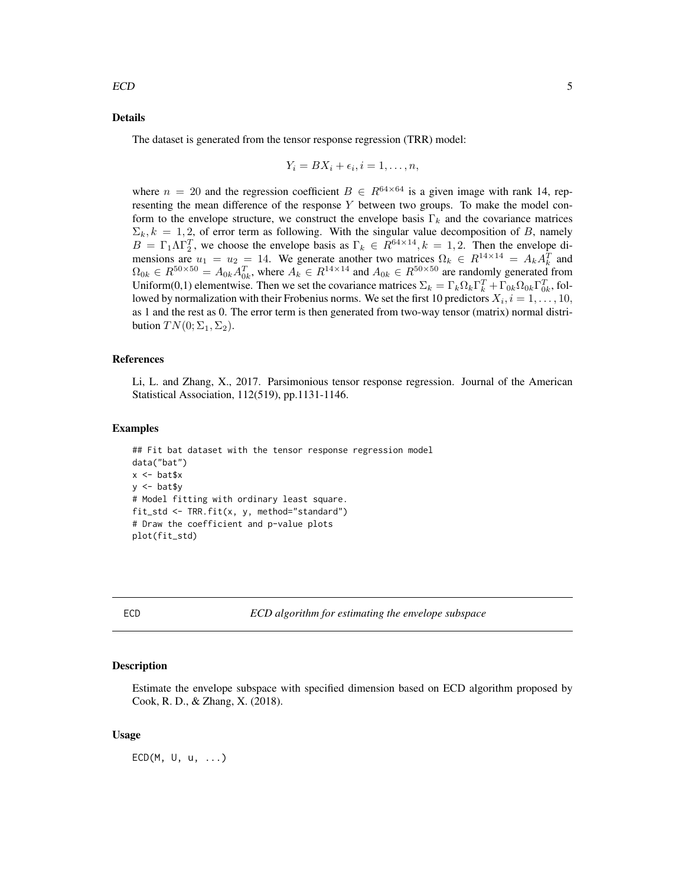#### <span id="page-4-0"></span>Details

The dataset is generated from the tensor response regression (TRR) model:

$$
Y_i = BX_i + \epsilon_i, i = 1, \ldots, n,
$$

where  $n = 20$  and the regression coefficient  $B \in R^{64 \times 64}$  is a given image with rank 14, representing the mean difference of the response  $Y$  between two groups. To make the model conform to the envelope structure, we construct the envelope basis  $\Gamma_k$  and the covariance matrices  $\Sigma_k, k = 1, 2$ , of error term as following. With the singular value decomposition of B, namely  $B = \Gamma_1 \Lambda \Gamma_2^T$ , we choose the envelope basis as  $\Gamma_k \in R^{64 \times 14}$ ,  $k = 1, 2$ . Then the envelope dimensions are  $u_1 = u_2 = 14$ . We generate another two matrices  $\Omega_k \in R^{14 \times 14} = A_k A_k^T$  and  $\Omega_{0k} \in R^{50\times50} = A_{0k}A_{0k}^T$ , where  $A_k \in R^{14\times14}$  and  $A_{0k} \in R^{50\times50}$  are randomly generated from Uniform(0,1) elementwise. Then we set the covariance matrices  $\Sigma_k = \Gamma_k \Omega_k \Gamma_k^T + \Gamma_{0k} \Omega_{0k} \Gamma_{0k}^T$ , followed by normalization with their Frobenius norms. We set the first 10 predictors  $X_i$ ,  $i = 1, \ldots, 10$ , as 1 and the rest as 0. The error term is then generated from two-way tensor (matrix) normal distribution  $TN(0; \Sigma_1, \Sigma_2)$ .

#### References

Li, L. and Zhang, X., 2017. Parsimonious tensor response regression. Journal of the American Statistical Association, 112(519), pp.1131-1146.

## Examples

```
## Fit bat dataset with the tensor response regression model
data("bat")
x <- bat$x
y <- bat$y
# Model fitting with ordinary least square.
fit_std <- TRR.fit(x, y, method="standard")
# Draw the coefficient and p-value plots
plot(fit_std)
```
ECD *ECD algorithm for estimating the envelope subspace*

#### **Description**

Estimate the envelope subspace with specified dimension based on ECD algorithm proposed by Cook, R. D., & Zhang, X. (2018).

#### Usage

 $ECD(M, U, u, ...)$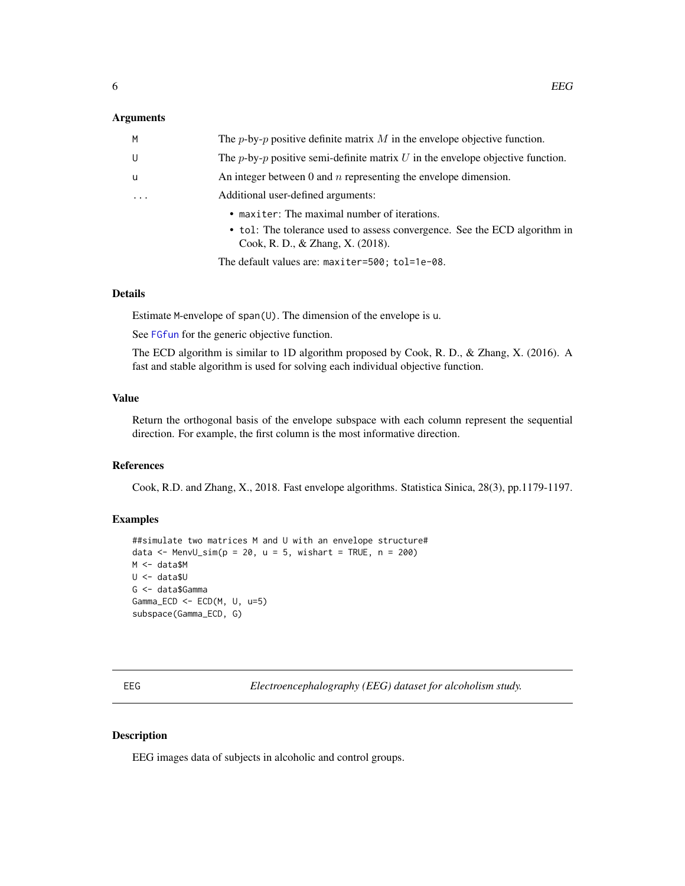#### <span id="page-5-0"></span>Arguments

| M                       | The <i>p</i> -by- <i>p</i> positive definite matrix M in the envelope objective function. |
|-------------------------|-------------------------------------------------------------------------------------------|
| U                       | The $p$ -by- $p$ positive semi-definite matrix U in the envelope objective function.      |
| - u                     | An integer between 0 and $n$ representing the envelope dimension.                         |
| $\cdot$ $\cdot$ $\cdot$ | Additional user-defined arguments:                                                        |
|                         | • maxiter: The maximal number of iterations.                                              |
|                         | $\bullet$ tol: The tolerance used to assess convergence. See the ECD algorithm in         |

• tol: The tolerance used to assess convergence. See the ECD algorithm in Cook, R. D., & Zhang, X. (2018).

The default values are: maxiter=500; tol=1e-08.

## Details

Estimate M-envelope of span(U). The dimension of the envelope is u.

See [FGfun](#page-7-1) for the generic objective function.

The ECD algorithm is similar to 1D algorithm proposed by Cook, R. D., & Zhang, X. (2016). A fast and stable algorithm is used for solving each individual objective function.

#### Value

Return the orthogonal basis of the envelope subspace with each column represent the sequential direction. For example, the first column is the most informative direction.

## References

Cook, R.D. and Zhang, X., 2018. Fast envelope algorithms. Statistica Sinica, 28(3), pp.1179-1197.

#### Examples

```
##simulate two matrices M and U with an envelope structure#
data \leq MenvU_sim(p = 20, u = 5, wishart = TRUE, n = 200)
M <- data$M
U <- data$U
G <- data$Gamma
Gamma_ECD <- ECD(M, U, u=5)
subspace(Gamma_ECD, G)
```
EEG *Electroencephalography (EEG) dataset for alcoholism study.*

#### Description

EEG images data of subjects in alcoholic and control groups.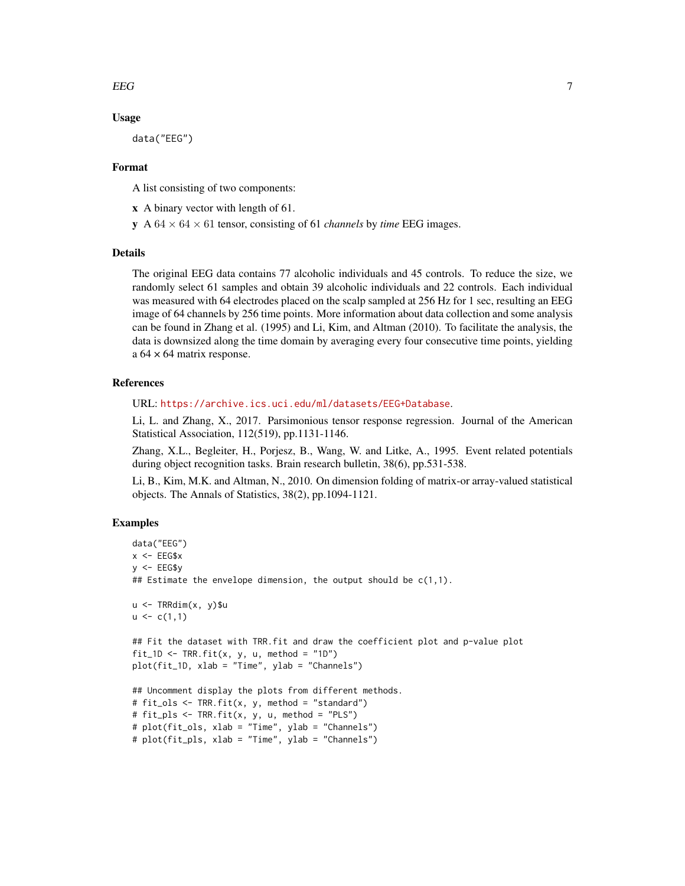#### $EEG$  7

#### Usage

data("EEG")

## Format

A list consisting of two components:

- x A binary vector with length of 61.
- $\mathbf{y}$  A 64  $\times$  64  $\times$  61 tensor, consisting of 61 *channels* by *time* EEG images.

#### Details

The original EEG data contains 77 alcoholic individuals and 45 controls. To reduce the size, we randomly select 61 samples and obtain 39 alcoholic individuals and 22 controls. Each individual was measured with 64 electrodes placed on the scalp sampled at 256 Hz for 1 sec, resulting an EEG image of 64 channels by 256 time points. More information about data collection and some analysis can be found in Zhang et al. (1995) and Li, Kim, and Altman (2010). To facilitate the analysis, the data is downsized along the time domain by averaging every four consecutive time points, yielding a  $64 \times 64$  matrix response.

#### References

URL: <https://archive.ics.uci.edu/ml/datasets/EEG+Database>.

Li, L. and Zhang, X., 2017. Parsimonious tensor response regression. Journal of the American Statistical Association, 112(519), pp.1131-1146.

Zhang, X.L., Begleiter, H., Porjesz, B., Wang, W. and Litke, A., 1995. Event related potentials during object recognition tasks. Brain research bulletin, 38(6), pp.531-538.

Li, B., Kim, M.K. and Altman, N., 2010. On dimension folding of matrix-or array-valued statistical objects. The Annals of Statistics, 38(2), pp.1094-1121.

```
data("EEG")
x < - EEG$xy <- EEG$y
## Estimate the envelope dimension, the output should be c(1,1).
u <- TRRdim(x, y)$u
u \leftarrow c(1,1)## Fit the dataset with TRR.fit and draw the coefficient plot and p-value plot
fit_1D <- TRR.fit(x, y, u, method = "1D")
plot(fit_1D, xlab = "Time", ylab = "Channels")
## Uncomment display the plots from different methods.
# fit_ols <- TRR.fit(x, y, method = "standard")
# fit_pls <- TRR.fit(x, y, u, method = "PLS")
# plot(fit_ols, xlab = "Time", ylab = "Channels")
# plot(fit_pls, xlab = "Time", ylab = "Channels")
```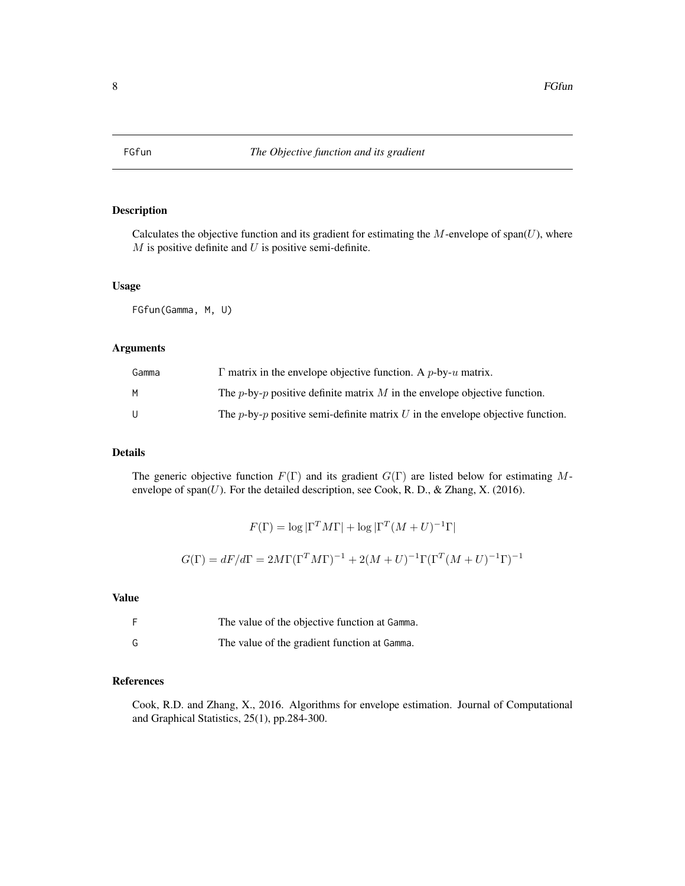<span id="page-7-1"></span><span id="page-7-0"></span>

Calculates the objective function and its gradient for estimating the  $M$ -envelope of span( $U$ ), where  $M$  is positive definite and  $U$  is positive semi-definite.

#### Usage

FGfun(Gamma, M, U)

#### Arguments

| Gamma | $\Gamma$ matrix in the envelope objective function. A p-by-u matrix.                           |
|-------|------------------------------------------------------------------------------------------------|
| M     | The <i>p</i> -by- <i>p</i> positive definite matrix M in the envelope objective function.      |
| U     | The <i>p</i> -by- <i>p</i> positive semi-definite matrix U in the envelope objective function. |

## Details

The generic objective function  $F(\Gamma)$  and its gradient  $G(\Gamma)$  are listed below for estimating Menvelope of  $\text{span}(U)$ . For the detailed description, see Cook, R. D., & Zhang, X. (2016).

$$
F(\Gamma) = \log |\Gamma^T M \Gamma| + \log |\Gamma^T (M + U)^{-1} \Gamma|
$$
  

$$
G(\Gamma) = dF/d\Gamma = 2M\Gamma (\Gamma^T M \Gamma)^{-1} + 2(M + U)^{-1} \Gamma (\Gamma^T (M + U)^{-1} \Gamma)^{-1}
$$

## Value

|   | The value of the objective function at Gamma. |
|---|-----------------------------------------------|
| G | The value of the gradient function at Gamma.  |

#### References

Cook, R.D. and Zhang, X., 2016. Algorithms for envelope estimation. Journal of Computational and Graphical Statistics, 25(1), pp.284-300.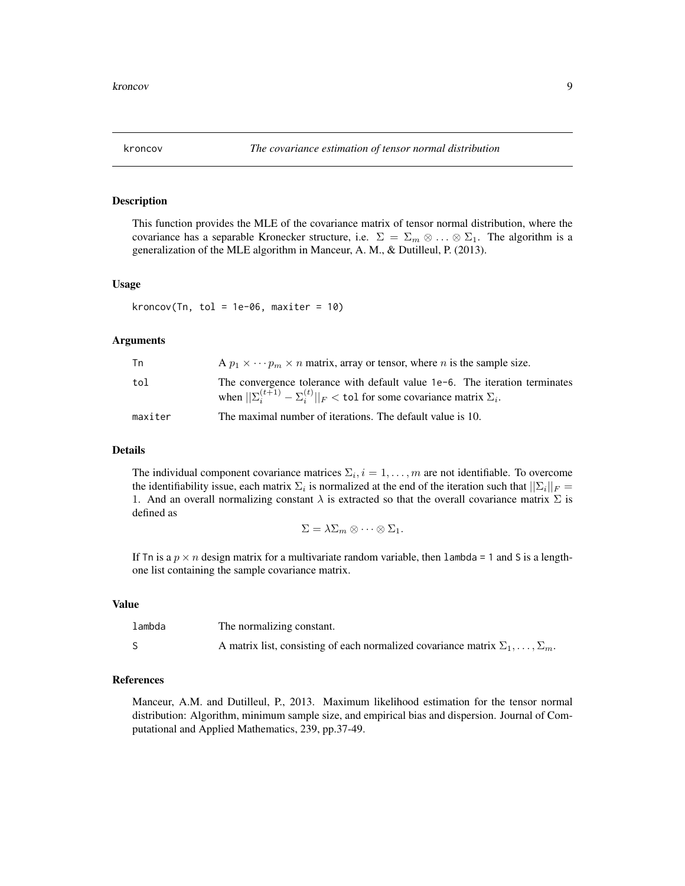<span id="page-8-0"></span>This function provides the MLE of the covariance matrix of tensor normal distribution, where the covariance has a separable Kronecker structure, i.e.  $\Sigma = \Sigma_m \otimes \ldots \otimes \Sigma_1$ . The algorithm is a generalization of the MLE algorithm in Manceur, A. M., & Dutilleul, P. (2013).

#### Usage

kroncov(Tn, tol = 1e-06, maxiter = 10)

#### Arguments

| Tn      | A $p_1 \times \cdots p_m \times n$ matrix, array or tensor, where <i>n</i> is the sample size.                                                                                 |
|---------|--------------------------------------------------------------------------------------------------------------------------------------------------------------------------------|
| tol     | The convergence tolerance with default value $1e-6$ . The iteration terminates<br>when $  \Sigma_i^{(t+1)} - \Sigma_i^{(t)}  _F <$ tol for some covariance matrix $\Sigma_i$ . |
| maxiter | The maximal number of iterations. The default value is 10.                                                                                                                     |

#### Details

The individual component covariance matrices  $\Sigma_i$ ,  $i = 1, \ldots, m$  are not identifiable. To overcome the identifiability issue, each matrix  $\Sigma_i$  is normalized at the end of the iteration such that  $||\Sigma_i||_F =$ 1. And an overall normalizing constant  $\lambda$  is extracted so that the overall covariance matrix  $\Sigma$  is defined as

$$
\Sigma = \lambda \Sigma_m \otimes \cdots \otimes \Sigma_1.
$$

If Tn is a  $p \times n$  design matrix for a multivariate random variable, then lambda = 1 and S is a lengthone list containing the sample covariance matrix.

## Value

| lambda | The normalizing constant.                                                                     |
|--------|-----------------------------------------------------------------------------------------------|
|        | A matrix list, consisting of each normalized covariance matrix $\Sigma_1, \ldots, \Sigma_m$ . |

## References

Manceur, A.M. and Dutilleul, P., 2013. Maximum likelihood estimation for the tensor normal distribution: Algorithm, minimum sample size, and empirical bias and dispersion. Journal of Computational and Applied Mathematics, 239, pp.37-49.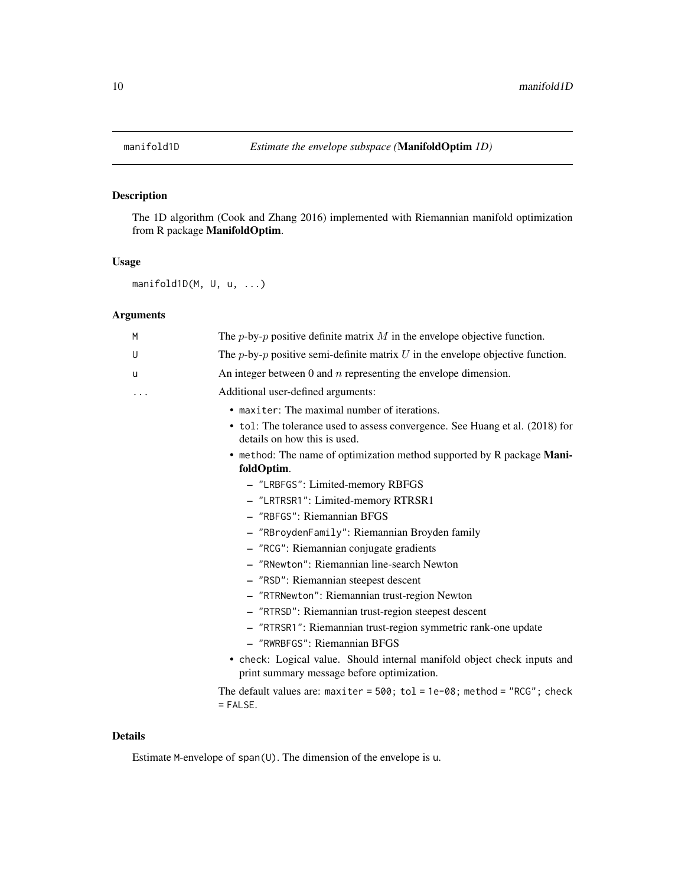The 1D algorithm (Cook and Zhang 2016) implemented with Riemannian manifold optimization from R package ManifoldOptim.

#### Usage

```
manifold1D(M, U, u, ...)
```
## Arguments

| M | The <i>p</i> -by- <i>p</i> positive definite matrix M in the envelope objective function.                              |
|---|------------------------------------------------------------------------------------------------------------------------|
| U | The p-by-p positive semi-definite matrix $U$ in the envelope objective function.                                       |
| u | An integer between 0 and $n$ representing the envelope dimension.                                                      |
| . | Additional user-defined arguments:                                                                                     |
|   | • maxiter: The maximal number of iterations.                                                                           |
|   | • tol: The tolerance used to assess convergence. See Huang et al. (2018) for<br>details on how this is used.           |
|   | • method: The name of optimization method supported by R package Mani-<br>foldOptim.                                   |
|   | - "LRBFGS": Limited-memory RBFGS                                                                                       |
|   | - "LRTRSR1": Limited-memory RTRSR1                                                                                     |
|   | - "RBFGS": Riemannian BFGS                                                                                             |
|   | - "RBroydenFamily": Riemannian Broyden family                                                                          |
|   | - "RCG": Riemannian conjugate gradients                                                                                |
|   | - "RNewton": Riemannian line-search Newton                                                                             |
|   | - "RSD": Riemannian steepest descent                                                                                   |
|   | - "RTRNewton": Riemannian trust-region Newton                                                                          |
|   | - "RTRSD": Riemannian trust-region steepest descent                                                                    |
|   | - "RTRSR1": Riemannian trust-region symmetric rank-one update                                                          |
|   | - "RWRBFGS": Riemannian BFGS                                                                                           |
|   | • check: Logical value. Should internal manifold object check inputs and<br>print summary message before optimization. |
|   | The default values are: maxiter = $500$ ; tol = $1e-08$ ; method = "RCG"; check<br>$=$ FALSE.                          |

## Details

Estimate M-envelope of span(U). The dimension of the envelope is u.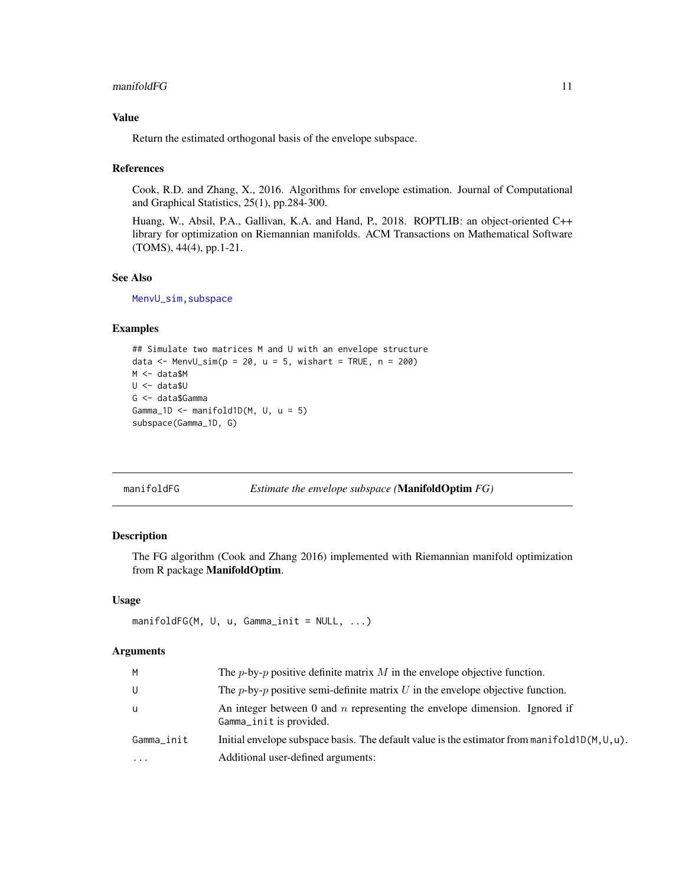#### <span id="page-10-0"></span> $manifold FG$  11

## Value

Return the estimated orthogonal basis of the envelope subspace.

#### References

Cook, R.D. and Zhang, X., 2016. Algorithms for envelope estimation. Journal of Computational and Graphical Statistics, 25(1), pp.284-300.

Huang, W., Absil, P.A., Gallivan, K.A. and Hand, P., 2018. ROPTLIB: an object-oriented C++ library for optimization on Riemannian manifolds. ACM Transactions on Mathematical Software (TOMS), 44(4), pp.1-21.

#### See Also

[MenvU\\_sim](#page-12-1)[,subspace](#page-26-1)

#### Examples

```
## Simulate two matrices M and U with an envelope structure
data \leq MenvU_sim(p = 20, u = 5, wishart = TRUE, n = 200)
M <- data$M
U <- data$U
G <- data$Gamma
Gamma_1D \leq manifold1D(M, U, u = 5)
subspace(Gamma_1D, G)
```

| manifoldFG | Estimate the envelope subspace (ManifoldOptim FG) |  |
|------------|---------------------------------------------------|--|
|            |                                                   |  |

## Description

The FG algorithm (Cook and Zhang 2016) implemented with Riemannian manifold optimization from R package ManifoldOptim.

#### Usage

```
manifoldFG(M, U, u, Gamma_init = NULL, ...)
```
#### Arguments

| M          | The <i>p</i> -by- <i>p</i> positive definite matrix M in the envelope objective function.               |
|------------|---------------------------------------------------------------------------------------------------------|
| U          | The <i>p</i> -by- <i>p</i> positive semi-definite matrix U in the envelope objective function.          |
| u          | An integer between 0 and $n$ representing the envelope dimension. Ignored if<br>Gamma_init is provided. |
| Gamma_init | Initial envelope subspace basis. The default value is the estimator from manifold $1D(M,U,u)$ .         |
| $\cdot$    | Additional user-defined arguments:                                                                      |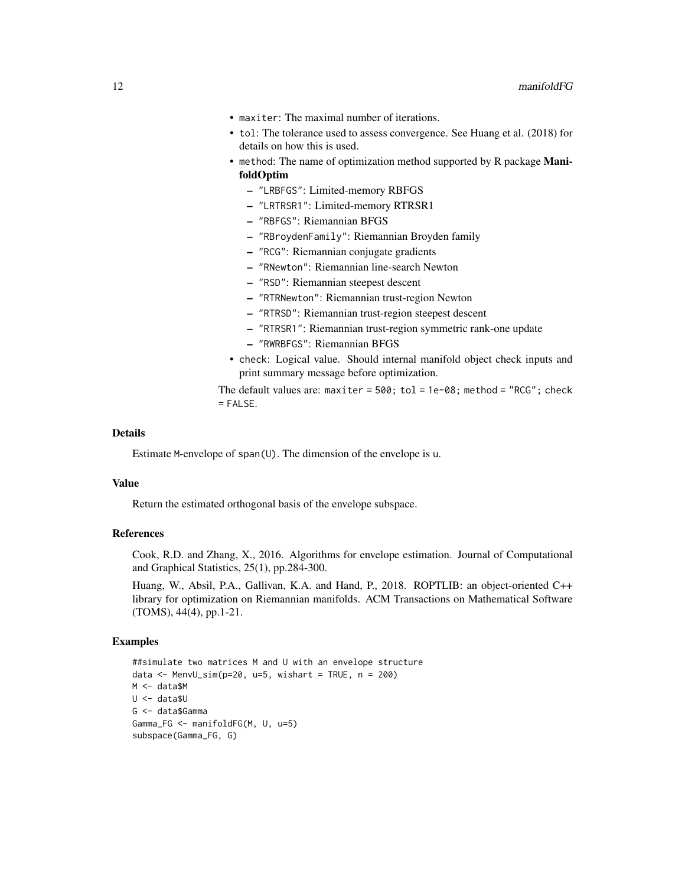- maxiter: The maximal number of iterations.
- tol: The tolerance used to assess convergence. See Huang et al. (2018) for details on how this is used.
- method: The name of optimization method supported by R package ManifoldOptim
	- "LRBFGS": Limited-memory RBFGS
	- "LRTRSR1": Limited-memory RTRSR1
	- "RBFGS": Riemannian BFGS
	- "RBroydenFamily": Riemannian Broyden family
	- "RCG": Riemannian conjugate gradients
	- "RNewton": Riemannian line-search Newton
	- "RSD": Riemannian steepest descent
	- "RTRNewton": Riemannian trust-region Newton
	- "RTRSD": Riemannian trust-region steepest descent
	- "RTRSR1": Riemannian trust-region symmetric rank-one update
	- "RWRBFGS": Riemannian BFGS
- check: Logical value. Should internal manifold object check inputs and print summary message before optimization.

The default values are: maxiter =  $500$ ; tol =  $1e-08$ ; method = "RCG"; check  $=$  FALSE.

## Details

Estimate M-envelope of span(U). The dimension of the envelope is u.

#### Value

Return the estimated orthogonal basis of the envelope subspace.

#### References

Cook, R.D. and Zhang, X., 2016. Algorithms for envelope estimation. Journal of Computational and Graphical Statistics, 25(1), pp.284-300.

Huang, W., Absil, P.A., Gallivan, K.A. and Hand, P., 2018. ROPTLIB: an object-oriented C++ library for optimization on Riemannian manifolds. ACM Transactions on Mathematical Software (TOMS), 44(4), pp.1-21.

```
##simulate two matrices M and U with an envelope structure
data <- MenvU_sim(p=20, u=5, wishart = TRUE, n = 200)
M <- data$M
U <- data$U
G <- data$Gamma
Gamma_FG <- manifoldFG(M, U, u=5)
subspace(Gamma_FG, G)
```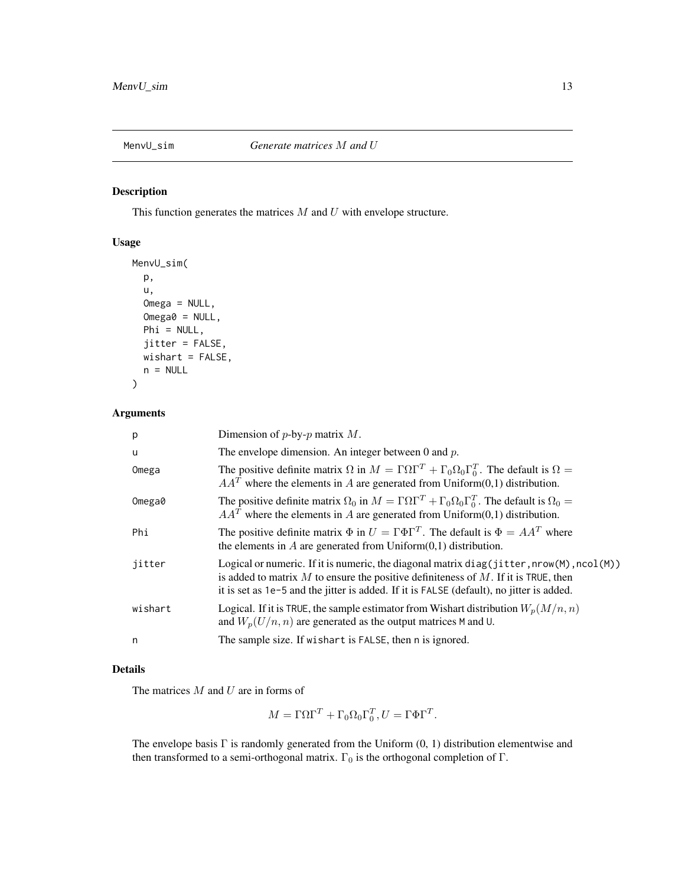<span id="page-12-1"></span><span id="page-12-0"></span>

This function generates the matrices  $M$  and  $U$  with envelope structure.

## Usage

```
MenvU_sim(
  p,
  u,
  Omega = NULL,
  Omega0 = NULL,
  Phi = NULL,jitter = FALSE,
  wishart = FALSE,
  n = NULL\mathcal{L}
```
## Arguments

| p       | Dimension of $p$ -by- $p$ matrix $M$ .                                                                                                                                                                                                                                            |
|---------|-----------------------------------------------------------------------------------------------------------------------------------------------------------------------------------------------------------------------------------------------------------------------------------|
| u       | The envelope dimension. An integer between 0 and $p$ .                                                                                                                                                                                                                            |
| Omega   | The positive definite matrix $\Omega$ in $M = \Gamma \Omega \Gamma^T + \Gamma_0 \Omega_0 \Gamma_0^T$ . The default is $\Omega =$<br>$AAT$ where the elements in A are generated from Uniform(0,1) distribution.                                                                   |
| Omega0  | The positive definite matrix $\Omega_0$ in $M = \Gamma \Omega \Gamma^T + \Gamma_0 \Omega_0 \Gamma_0^T$ . The default is $\Omega_0 =$<br>$AAT$ where the elements in A are generated from Uniform(0,1) distribution.                                                               |
| Phi     | The positive definite matrix $\Phi$ in $U = \Gamma \Phi \Gamma^{T}$ . The default is $\Phi = AA^{T}$ where<br>the elements in $A$ are generated from $Uniform(0,1)$ distribution.                                                                                                 |
| jitter  | Logical or numeric. If it is numeric, the diagonal matrix $diag(jitter, nrow(M), ncol(M))$<br>is added to matrix $M$ to ensure the positive definiteness of $M$ . If it is TRUE, then<br>it is set as 1e-5 and the jitter is added. If it is FALSE (default), no jitter is added. |
| wishart | Logical. If it is TRUE, the sample estimator from Wishart distribution $W_p(M/n, n)$<br>and $W_p(U/n, n)$ are generated as the output matrices M and U.                                                                                                                           |
| n       | The sample size. If wishart is FALSE, then n is ignored.                                                                                                                                                                                                                          |

## Details

The matrices  $M$  and  $U$  are in forms of

$$
M = \Gamma \Omega \Gamma^T + \Gamma_0 \Omega_0 \Gamma_0^T, U = \Gamma \Phi \Gamma^T.
$$

The envelope basis Γ is randomly generated from the Uniform (0, 1) distribution elementwise and then transformed to a semi-orthogonal matrix.  $\Gamma_0$  is the orthogonal completion of  $\Gamma$ .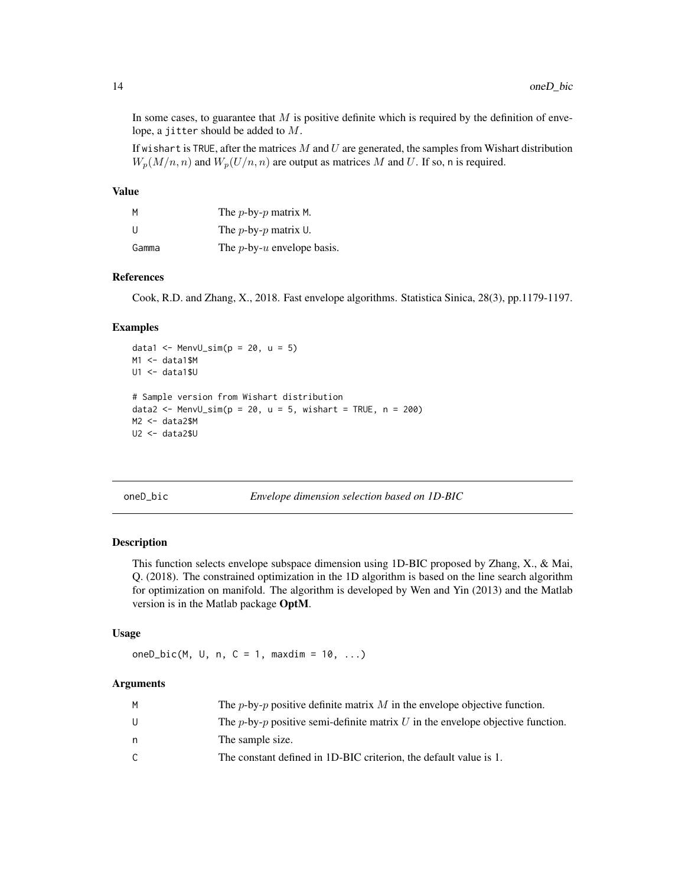In some cases, to guarantee that  $M$  is positive definite which is required by the definition of envelope, a jitter should be added to M.

If wishart is TRUE, after the matrices  $M$  and  $U$  are generated, the samples from Wishart distribution  $W_n(M/n, n)$  and  $W_n(U/n, n)$  are output as matrices M and U. If so, n is required.

#### Value

| M     | The $p$ -by- $p$ matrix M.                 |
|-------|--------------------------------------------|
| -11   | The $p$ -by- $p$ matrix U.                 |
| Gamma | The <i>p</i> -by- <i>u</i> envelope basis. |

#### References

Cook, R.D. and Zhang, X., 2018. Fast envelope algorithms. Statistica Sinica, 28(3), pp.1179-1197.

#### Examples

```
data1 <- MenvU_sim(p = 20, u = 5)
M1 <- data1$M
U1 <- data1$U
# Sample version from Wishart distribution
data2 <- MenvU_sim(p = 20, u = 5, wishart = TRUE, n = 200)
M2 <- data2$M
U2 <- data2$U
```
<span id="page-13-1"></span>oneD\_bic *Envelope dimension selection based on 1D-BIC*

#### Description

This function selects envelope subspace dimension using 1D-BIC proposed by Zhang, X., & Mai, Q. (2018). The constrained optimization in the 1D algorithm is based on the line search algorithm for optimization on manifold. The algorithm is developed by Wen and Yin (2013) and the Matlab version is in the Matlab package OptM.

#### Usage

oneD\_bic(M, U, n,  $C = 1$ , maxdim = 10, ...)

## **Arguments**

| м | The <i>p</i> -by- <i>p</i> positive definite matrix M in the envelope objective function.      |
|---|------------------------------------------------------------------------------------------------|
| U | The <i>p</i> -by- <i>p</i> positive semi-definite matrix U in the envelope objective function. |
| n | The sample size.                                                                               |
|   | The constant defined in 1D-BIC criterion, the default value is 1.                              |
|   |                                                                                                |

<span id="page-13-0"></span>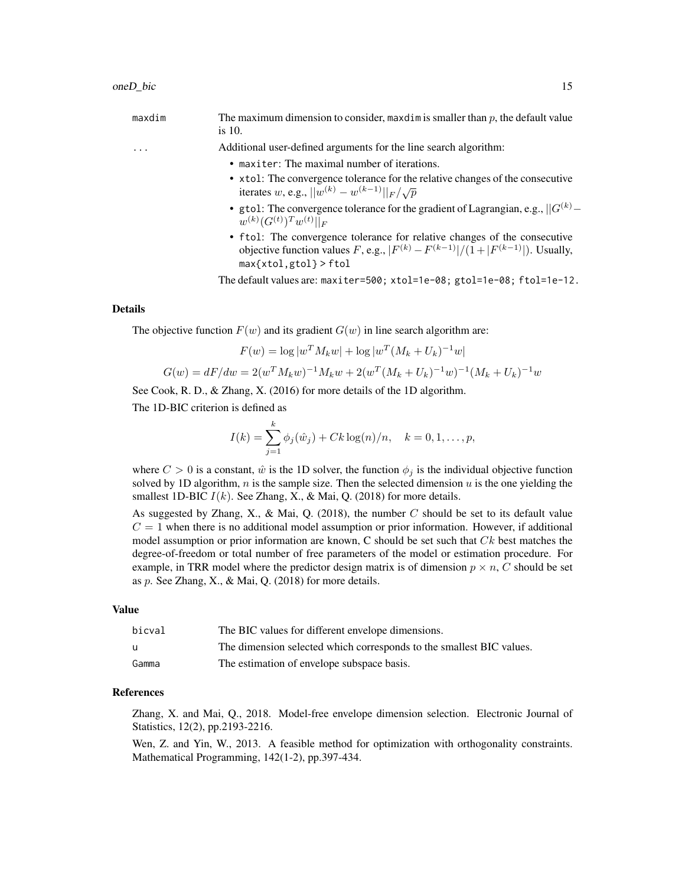| maxdim | The maximum dimension to consider, maxdim is smaller than $p$ , the default value<br>is $10$ .                                                                                                  |
|--------|-------------------------------------------------------------------------------------------------------------------------------------------------------------------------------------------------|
| .      | Additional user-defined arguments for the line search algorithm:                                                                                                                                |
|        | • maxiter: The maximal number of iterations.                                                                                                                                                    |
|        | • xtol: The convergence tolerance for the relative changes of the consecutive<br>iterates w, e.g., $  w^{(k)} - w^{(k-1)}  _F / \sqrt{p}$                                                       |
|        | • gtol: The convergence tolerance for the gradient of Lagrangian, e.g., $  G^{(k)} -$<br>$w^{(k)}(G^{(t)})^Tw^{(t)}  _F$                                                                        |
|        | • ftol: The convergence tolerance for relative changes of the consecutive<br>objective function values F, e.g., $ F^{(k)} - F^{(k-1)} /(1+ F^{(k-1)} )$ . Usually,<br>$max\{xtol,gtol\}$ > ftol |
|        | The default values are: $maxiter=500$ ; $xtol=1e-08$ ; $gtol=1e-08$ ; $ftol=1e-12$ .                                                                                                            |

#### Details

The objective function  $F(w)$  and its gradient  $G(w)$  in line search algorithm are:

$$
F(w) = \log |w^T M_k w| + \log |w^T (M_k + U_k)^{-1} w|
$$
  

$$
G(w) = dF/dw = 2(w^T M_k w)^{-1} M_k w + 2(w^T (M_k + U_k)^{-1} w)^{-1} (M_k + U_k)^{-1} w
$$

See Cook, R. D., & Zhang, X. (2016) for more details of the 1D algorithm.

The 1D-BIC criterion is defined as

$$
I(k) = \sum_{j=1}^{k} \phi_j(\hat{w}_j) + Ck \log(n)/n, \quad k = 0, 1, ..., p,
$$

where  $C > 0$  is a constant,  $\hat{w}$  is the 1D solver, the function  $\phi_j$  is the individual objective function solved by 1D algorithm,  $n$  is the sample size. Then the selected dimension  $u$  is the one yielding the smallest 1D-BIC  $I(k)$ . See Zhang, X., & Mai, Q. (2018) for more details.

As suggested by Zhang, X., & Mai, Q. (2018), the number  $C$  should be set to its default value  $C = 1$  when there is no additional model assumption or prior information. However, if additional model assumption or prior information are known,  $C$  should be set such that  $Ck$  best matches the degree-of-freedom or total number of free parameters of the model or estimation procedure. For example, in TRR model where the predictor design matrix is of dimension  $p \times n$ , C should be set as  $p$ . See Zhang, X., & Mai, Q. (2018) for more details.

#### Value

| bicval | The BIC values for different envelope dimensions.                    |
|--------|----------------------------------------------------------------------|
| u      | The dimension selected which corresponds to the smallest BIC values. |
| Gamma  | The estimation of envelope subspace basis.                           |

## References

Zhang, X. and Mai, Q., 2018. Model-free envelope dimension selection. Electronic Journal of Statistics, 12(2), pp.2193-2216.

Wen, Z. and Yin, W., 2013. A feasible method for optimization with orthogonality constraints. Mathematical Programming, 142(1-2), pp.397-434.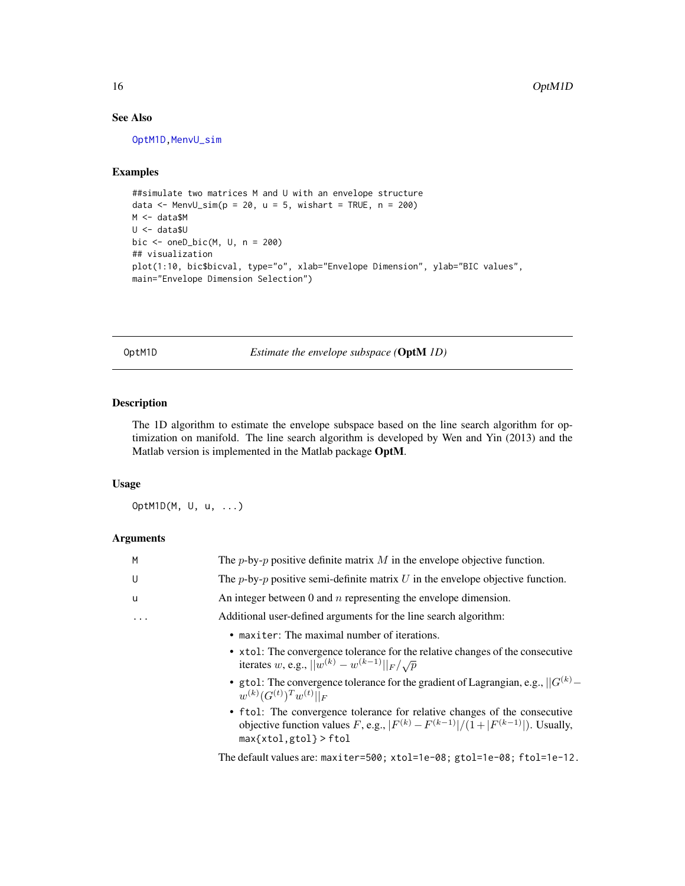## See Also

[OptM1D](#page-15-1), MenvU\_sim

## Examples

```
##simulate two matrices M and U with an envelope structure
data \leq MenvU_sim(p = 20, u = 5, wishart = TRUE, n = 200)
M <- data$M
U <- data$U
bic \leq oneD_bic(M, U, n = 200)
## visualization
plot(1:10, bic$bicval, type="o", xlab="Envelope Dimension", ylab="BIC values",
main="Envelope Dimension Selection")
```
<span id="page-15-1"></span>OptM1D *Estimate the envelope subspace (*OptM *1D)*

#### Description

The 1D algorithm to estimate the envelope subspace based on the line search algorithm for optimization on manifold. The line search algorithm is developed by Wen and Yin (2013) and the Matlab version is implemented in the Matlab package OptM.

### Usage

OptM1D(M, U, u, ...)

## Arguments

| M        | The <i>p</i> -by- <i>p</i> positive definite matrix M in the envelope objective function.                                                                              |
|----------|------------------------------------------------------------------------------------------------------------------------------------------------------------------------|
| U        | The <i>p</i> -by- <i>p</i> positive semi-definite matrix $U$ in the envelope objective function.                                                                       |
| <b>u</b> | An integer between 0 and $n$ representing the envelope dimension.                                                                                                      |
| .        | Additional user-defined arguments for the line search algorithm:                                                                                                       |
|          | • maxiter: The maximal number of iterations.                                                                                                                           |
|          | • xtol: The convergence tolerance for the relative changes of the consecutive<br>iterates w, e.g., $  w^{(k)} - w^{(k-1)}  _F / \sqrt{p}$                              |
|          | • gtol: The convergence tolerance for the gradient of Lagrangian, e.g., $  G^{(k)} -$<br>$w^{(k)}(G^{(t)})^Tw^{(t)}  _F$                                               |
|          | • ftol: The convergence tolerance for relative changes of the consecutive<br>objective function values F, e.g., $ F^{(k)} - F^{(k-1)}  / (1 +  F^{(k-1)} )$ . Usually, |

max{xtol,gtol} > ftol

The default values are: maxiter=500; xtol=1e-08; gtol=1e-08; ftol=1e-12.

<span id="page-15-0"></span>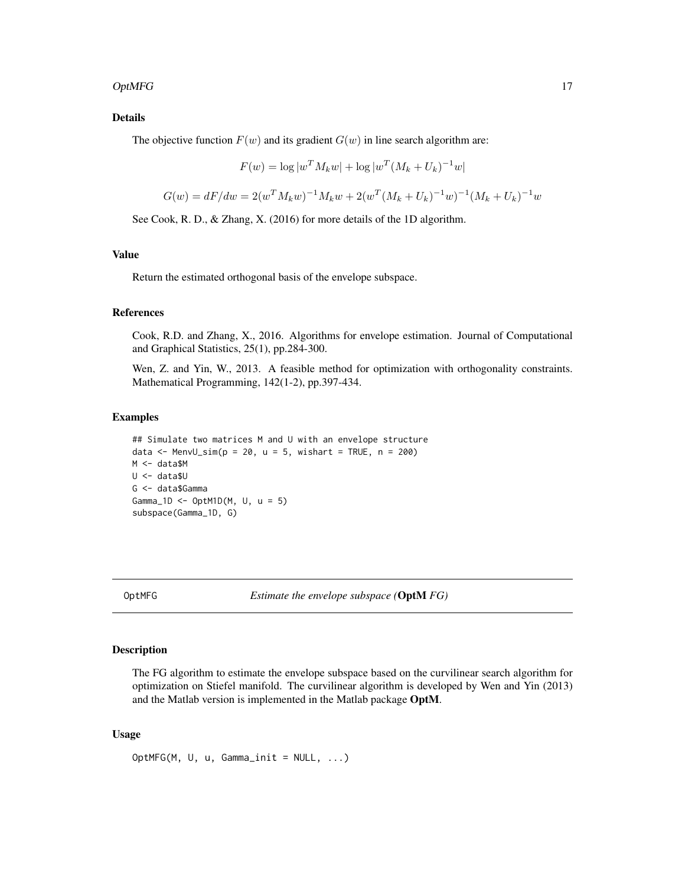#### <span id="page-16-0"></span> $OptMFG$  and the contract of the contract of the contract of the contract of the contract of the contract of the contract of the contract of the contract of the contract of the contract of the contract of the contract of the

## Details

The objective function  $F(w)$  and its gradient  $G(w)$  in line search algorithm are:

$$
F(w) = \log |w^T M_k w| + \log |w^T (M_k + U_k)^{-1} w|
$$

$$
G(w) = dF/dw = 2(w^T M_k w)^{-1} M_k w + 2(w^T (M_k + U_k)^{-1} w)^{-1} (M_k + U_k)^{-1} w
$$

See Cook, R. D., & Zhang, X. (2016) for more details of the 1D algorithm.

## Value

Return the estimated orthogonal basis of the envelope subspace.

#### References

Cook, R.D. and Zhang, X., 2016. Algorithms for envelope estimation. Journal of Computational and Graphical Statistics, 25(1), pp.284-300.

Wen, Z. and Yin, W., 2013. A feasible method for optimization with orthogonality constraints. Mathematical Programming, 142(1-2), pp.397-434.

#### Examples

## Simulate two matrices M and U with an envelope structure data  $\leq$  MenvU\_sim(p = 20, u = 5, wishart = TRUE, n = 200) M <- data\$M U <- data\$U G <- data\$Gamma Gamma\_1D <- OptM1D(M, U, u = 5) subspace(Gamma\_1D, G)

OptMFG *Estimate the envelope subspace (*OptM *FG)*

### Description

The FG algorithm to estimate the envelope subspace based on the curvilinear search algorithm for optimization on Stiefel manifold. The curvilinear algorithm is developed by Wen and Yin (2013) and the Matlab version is implemented in the Matlab package OptM.

#### Usage

OptMFG(M, U, u, Gamma\_init = NULL, ...)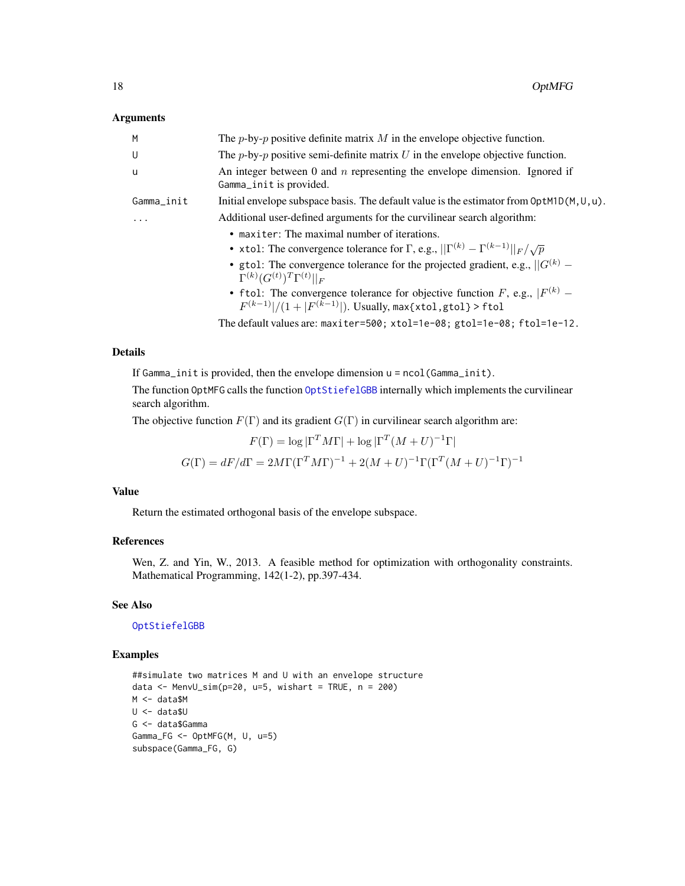#### <span id="page-17-0"></span>Arguments

| M          | The <i>p</i> -by- <i>p</i> positive definite matrix $M$ in the envelope objective function.                                                                                                                                         |  |
|------------|-------------------------------------------------------------------------------------------------------------------------------------------------------------------------------------------------------------------------------------|--|
| U          | The $p$ -by- $p$ positive semi-definite matrix U in the envelope objective function.                                                                                                                                                |  |
| -u         | An integer between $0$ and $n$ representing the envelope dimension. Ignored if<br>Gamma_init is provided.                                                                                                                           |  |
| Gamma_init | Initial envelope subspace basis. The default value is the estimator from $OptMD(M, U, u)$ .                                                                                                                                         |  |
|            | Additional user-defined arguments for the curvilinear search algorithm:                                                                                                                                                             |  |
|            | • maxiter: The maximal number of iterations.                                                                                                                                                                                        |  |
|            | • xtol: The convergence tolerance for $\Gamma$ , e.g., $  \Gamma^{(k)} - \Gamma^{(k-1)}  _F / \sqrt{p}$                                                                                                                             |  |
|            | • gtol: The convergence tolerance for the projected gradient, e.g., $  G^{(k)} -$<br>$\Gamma^{(k)}(G^{(t)})^T\Gamma^{(t)}  _F$                                                                                                      |  |
|            | • ftol: The convergence tolerance for objective function F, e.g., $ F^{(k)} -$<br>$F^{(k-1)} /(1+ F^{(k-1)} )$ . Usually, max{xtol, gtol} > ftol                                                                                    |  |
|            | $\cdot$ . The state is the second for $\cdot$ . The second state is the second state in the second state in the second state in the second state in the second state in the second state in the second state in the second state in |  |

The default values are: maxiter=500; xtol=1e-08; gtol=1e-08; ftol=1e-12.

## Details

If Gamma\_init is provided, then the envelope dimension u = ncol(Gamma\_init).

The function OptMFG calls the function [OptStiefelGBB](#page-18-1) internally which implements the curvilinear search algorithm.

The objective function  $F(\Gamma)$  and its gradient  $G(\Gamma)$  in curvilinear search algorithm are:

$$
F(\Gamma) = \log |\Gamma^T M \Gamma| + \log |\Gamma^T (M + U)^{-1} \Gamma|
$$

$$
G(\Gamma) = dF/d\Gamma = 2M\Gamma (\Gamma^T M \Gamma)^{-1} + 2(M + U)^{-1} \Gamma (\Gamma^T (M + U)^{-1} \Gamma)^{-1}
$$

## Value

Return the estimated orthogonal basis of the envelope subspace.

## References

Wen, Z. and Yin, W., 2013. A feasible method for optimization with orthogonality constraints. Mathematical Programming, 142(1-2), pp.397-434.

#### See Also

#### [OptStiefelGBB](#page-18-1)

```
##simulate two matrices M and U with an envelope structure
data \leq MenvU_sim(p=20, u=5, wishart = TRUE, n = 200)
M <- data$M
U <- data$U
G <- data$Gamma
Gamma_FG <- OptMFG(M, U, u=5)
subspace(Gamma_FG, G)
```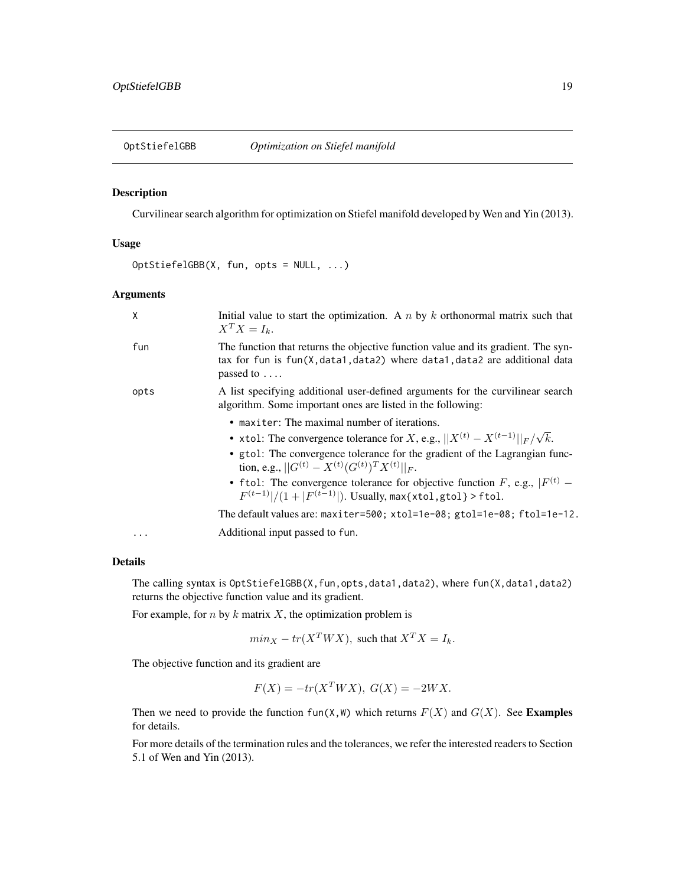<span id="page-18-1"></span><span id="page-18-0"></span>

Curvilinear search algorithm for optimization on Stiefel manifold developed by Wen and Yin (2013).

#### Usage

OptStiefelGBB(X, fun, opts = NULL, ...)

## Arguments

| X    | Initial value to start the optimization. A $n$ by $k$ orthonormal matrix such that<br>$X^T X = I_k.$                                                                                     |
|------|------------------------------------------------------------------------------------------------------------------------------------------------------------------------------------------|
| fun  | The function that returns the objective function value and its gradient. The syn-<br>tax for fun is $fun(X, data1, data2)$ where $data1, data2$ are additional data<br>passed to $\dots$ |
| opts | A list specifying additional user-defined arguments for the curvilinear search<br>algorithm. Some important ones are listed in the following:                                            |
|      | • maxiter: The maximal number of iterations.                                                                                                                                             |
|      | • xtol: The convergence tolerance for X, e.g., $  X^{(t)} - X^{(t-1)}  _F/\sqrt{k}$ .                                                                                                    |
|      | • gtol: The convergence tolerance for the gradient of the Lagrangian func-<br>tion, e.g., $  G^{(t)} - X^{(t)} (G^{(t)})^T X^{(t)}  _F$ .                                                |
|      | • ftol: The convergence tolerance for objective function F, e.g., $ F^{(t)} $ –<br>$F^{(t-1)} /(1+ F^{(t-1)} )$ . Usually, max{xtol, gtol} > ftol.                                       |
|      | The default values are: $maxiter=500$ ; $xtol=1e-08$ ; $gtol=1e-08$ ; $ftol=1e-12$ .                                                                                                     |
| .    | Additional input passed to fun.                                                                                                                                                          |
|      |                                                                                                                                                                                          |

## Details

The calling syntax is OptStiefelGBB(X, fun, opts, data1, data2), where fun(X, data1, data2) returns the objective function value and its gradient.

For example, for  $n$  by  $k$  matrix  $X$ , the optimization problem is

$$
min_X - tr(X^TWX), \text{ such that } X^TX = I_k.
$$

The objective function and its gradient are

$$
F(X) = -tr(X^TWX), \ G(X) = -2WX.
$$

Then we need to provide the function fun(X, W) which returns  $F(X)$  and  $G(X)$ . See Examples for details.

For more details of the termination rules and the tolerances, we refer the interested readers to Section 5.1 of Wen and Yin (2013).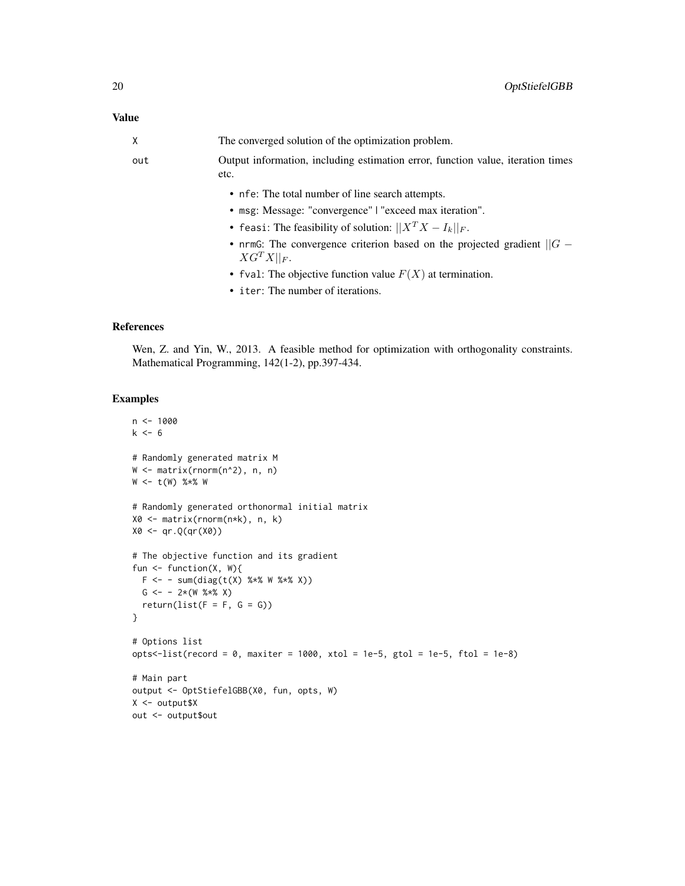## Value

| X   | The converged solution of the optimization problem.                                            |
|-----|------------------------------------------------------------------------------------------------|
| out | Output information, including estimation error, function value, iteration times<br>etc.        |
|     | • nfe: The total number of line search attempts.                                               |
|     | • msg: Message: "convergence"   "exceed max iteration".                                        |
|     | • feasi: The feasibility of solution: $  X^T X - I_k  _F$ .                                    |
|     | • nrmG: The convergence criterion based on the projected gradient $  G -$<br>$XG^{T}X  _{F}$ . |
|     | • fval: The objective function value $F(X)$ at termination.                                    |
|     | • iter: The number of iterations.                                                              |

## References

Wen, Z. and Yin, W., 2013. A feasible method for optimization with orthogonality constraints. Mathematical Programming, 142(1-2), pp.397-434.

```
n < -1000k < -6# Randomly generated matrix M
W <- matrix(rnorm(n^2), n, n)
W < - t(W) %*% W
# Randomly generated orthonormal initial matrix
X0 <- matrix(rnorm(n*k), n, k)
X0 \leq -q r . Q(qr(X0))# The objective function and its gradient
fun \leq function(X, W){
  F <- - sum(diag(t(X) %*% W %*% X))
 G \leftarrow -2*(W %*% X)return(list(F = F, G = G))}
# Options list
opts<-list(record = 0, maxiter = 1000, xtol = 1e-5, gtol = 1e-5, ftol = 1e-8)
# Main part
output <- OptStiefelGBB(X0, fun, opts, W)
X <- output$X
out <- output$out
```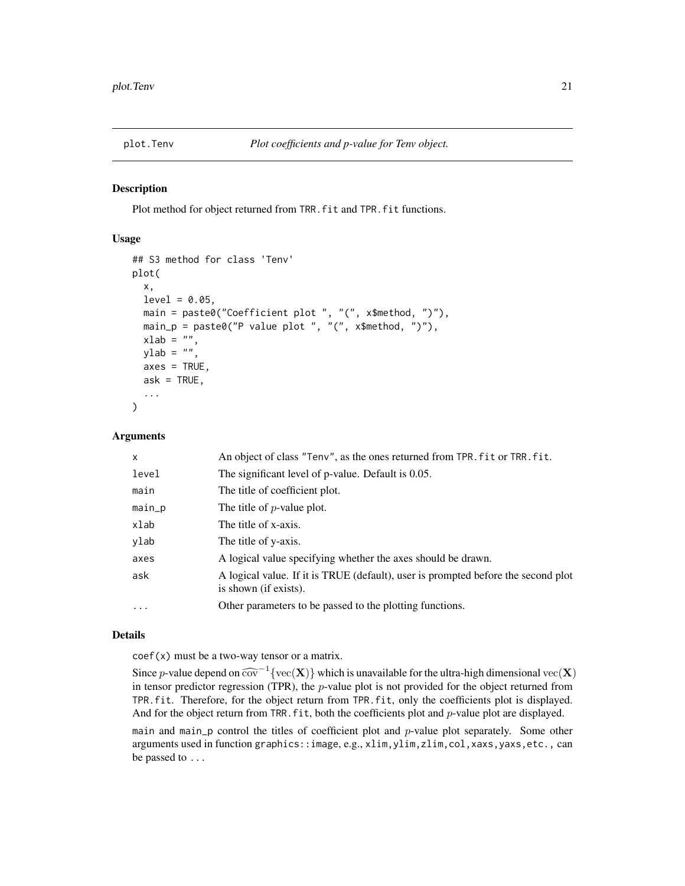<span id="page-20-1"></span><span id="page-20-0"></span>

Plot method for object returned from TRR.fit and TPR.fit functions.

## Usage

```
## S3 method for class 'Tenv'
plot(
  x,
 level = 0.05,
 main = paste0("Coefficient plot ", "(", x$method, ")"),
 main_p = paste0("P value plot", "(", x$method, ")");xlab = ",
 ylab = ",
 axes = TRUE,ask = TRUE,...
)
```
## Arguments

| $\mathsf{x}$ | An object of class "Tenv", as the ones returned from TPR. fit or TRR. fit.                                 |
|--------------|------------------------------------------------------------------------------------------------------------|
| level        | The significant level of p-value. Default is 0.05.                                                         |
| main         | The title of coefficient plot.                                                                             |
| main_p       | The title of $p$ -value plot.                                                                              |
| xlab         | The title of x-axis.                                                                                       |
| ylab         | The title of y-axis.                                                                                       |
| axes         | A logical value specifying whether the axes should be drawn.                                               |
| ask          | A logical value. If it is TRUE (default), user is prompted before the second plot<br>is shown (if exists). |
| $\cdot$      | Other parameters to be passed to the plotting functions.                                                   |

## Details

coef(x) must be a two-way tensor or a matrix.

Since p-value depend on  $\widehat{\text{cov}}^{-1} \{ \text{vec}(\mathbf{X}) \}$  which is unavailable for the ultra-high dimensional  $\text{vec}(\mathbf{X})$ <br>in tensor predictor regression (TPP), the n value plot is not provided for the object returned from in tensor predictor regression (TPR), the  $p$ -value plot is not provided for the object returned from TPR.fit. Therefore, for the object return from TPR.fit, only the coefficients plot is displayed. And for the object return from TRR. fit, both the coefficients plot and p-value plot are displayed.

main and main\_p control the titles of coefficient plot and  $p$ -value plot separately. Some other arguments used in function graphics::image, e.g., xlim,ylim,zlim,col,xaxs,yaxs,etc., can be passed to ...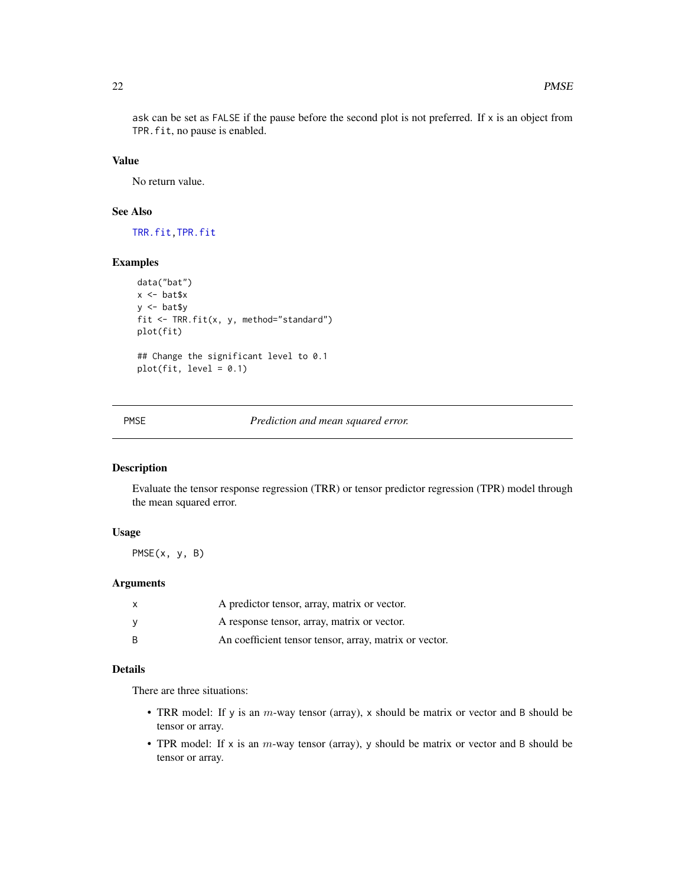<span id="page-21-0"></span>ask can be set as FALSE if the pause before the second plot is not preferred. If x is an object from TPR.fit, no pause is enabled.

## Value

No return value.

## See Also

[TRR.fit](#page-35-1)[,TPR.fit](#page-29-1)

### Examples

```
data("bat")
x <- bat$x
y <- bat$y
fit <- TRR.fit(x, y, method="standard")
plot(fit)
## Change the significant level to 0.1
plot(fit, level = 0.1)
```
PMSE *Prediction and mean squared error.*

## Description

Evaluate the tensor response regression (TRR) or tensor predictor regression (TPR) model through the mean squared error.

#### Usage

PMSE(x, y, B)

#### Arguments

| x | A predictor tensor, array, matrix or vector.           |
|---|--------------------------------------------------------|
| v | A response tensor, array, matrix or vector.            |
| B | An coefficient tensor tensor, array, matrix or vector. |

## Details

There are three situations:

- TRR model: If y is an  $m$ -way tensor (array), x should be matrix or vector and B should be tensor or array.
- TPR model: If x is an  $m$ -way tensor (array), y should be matrix or vector and B should be tensor or array.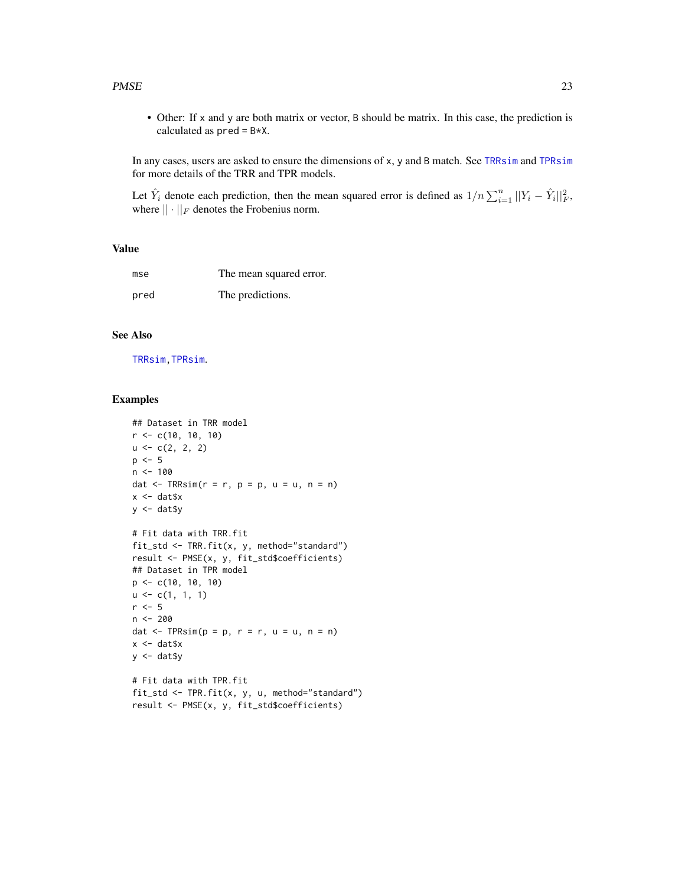#### <span id="page-22-0"></span> $PMSE$  23

• Other: If x and y are both matrix or vector, B should be matrix. In this case, the prediction is calculated as  $pred = B*X$ .

In any cases, users are asked to ensure the dimensions of x, y and B match. See [TRRsim](#page-40-1) and [TPRsim](#page-34-1) for more details of the TRR and TPR models.

Let  $\hat{Y}_i$  denote each prediction, then the mean squared error is defined as  $1/n \sum_{i=1}^n ||Y_i - \hat{Y}_i||_F^2$ , where  $\|\cdot\|_F$  denotes the Frobenius norm.

## Value

| mse  | The mean squared error. |
|------|-------------------------|
| pred | The predictions.        |

## See Also

[TRRsim](#page-40-1)[,TPRsim](#page-34-1).

```
## Dataset in TRR model
r < -c(10, 10, 10)u \leftarrow c(2, 2, 2)p \le -5n < -100dat \leq TRRsim(r = r, p = p, u = u, n = n)
x \leftarrow \text{dat$x}y \le - dat$y
# Fit data with TRR.fit
fit_std <- TRR.fit(x, y, method="standard")
result <- PMSE(x, y, fit_std$coefficients)
## Dataset in TPR model
p <- c(10, 10, 10)
u \leftarrow c(1, 1, 1)r < -5n <- 200
dat \leq TPRsim(p = p, r = r, u = u, n = n)
x < - dat$x
y <- dat$y
# Fit data with TPR.fit
fit_std <- TPR.fit(x, y, u, method="standard")
result <- PMSE(x, y, fit_std$coefficients)
```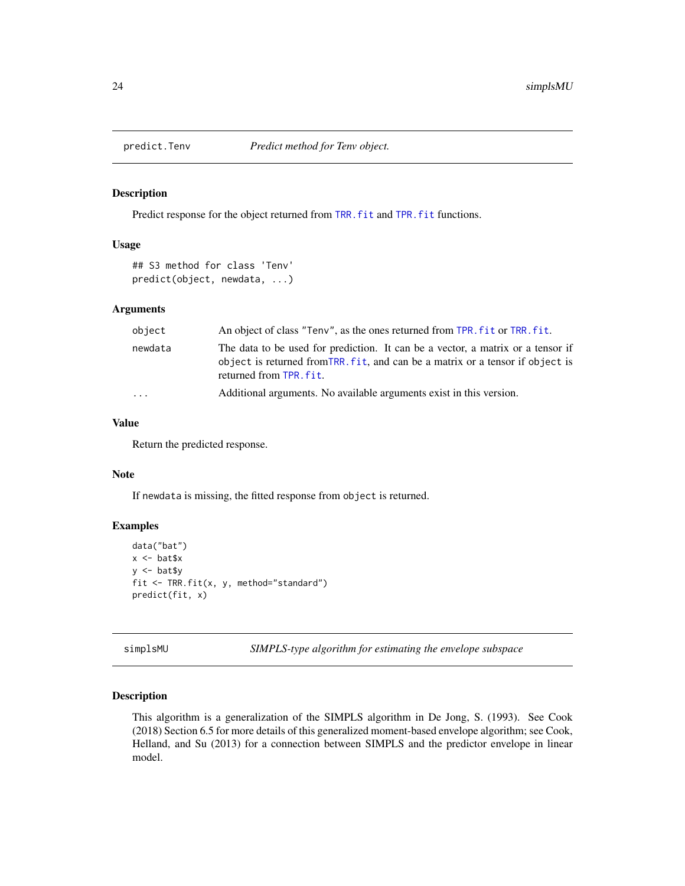<span id="page-23-1"></span><span id="page-23-0"></span>

Predict response for the object returned from [TRR.fit](#page-35-1) and [TPR.fit](#page-29-1) functions.

#### Usage

```
## S3 method for class 'Tenv'
predict(object, newdata, ...)
```
#### Arguments

| object            | An object of class "Teny", as the ones returned from TPR, fit or TRR, fit.                                                                                                                   |
|-------------------|----------------------------------------------------------------------------------------------------------------------------------------------------------------------------------------------|
| newdata           | The data to be used for prediction. It can be a vector, a matrix or a tensor if<br>object is returned from TRR. fit, and can be a matrix or a tensor if object is<br>returned from TPR. fit. |
| $\cdot\cdot\cdot$ | Additional arguments. No available arguments exist in this version.                                                                                                                          |

## Value

Return the predicted response.

#### Note

If newdata is missing, the fitted response from object is returned.

#### Examples

```
data("bat")
x < - bat$x
y <- bat$y
fit <- TRR.fit(x, y, method="standard")
predict(fit, x)
```
simplsMU *SIMPLS-type algorithm for estimating the envelope subspace*

## Description

This algorithm is a generalization of the SIMPLS algorithm in De Jong, S. (1993). See Cook (2018) Section 6.5 for more details of this generalized moment-based envelope algorithm; see Cook, Helland, and Su (2013) for a connection between SIMPLS and the predictor envelope in linear model.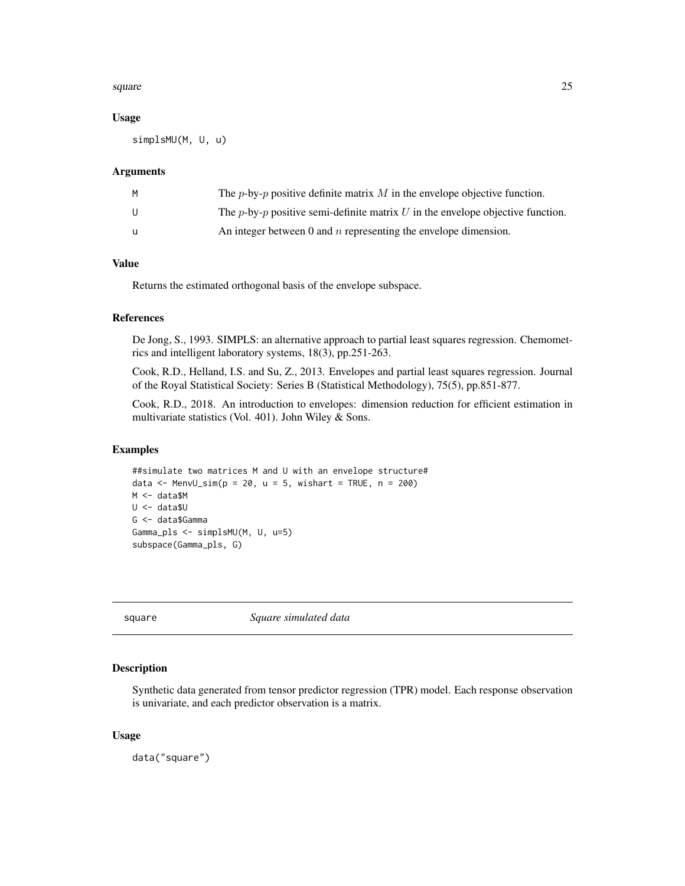#### <span id="page-24-0"></span>square  $25$

#### Usage

simplsMU(M, U, u)

## Arguments

| м | The <i>p</i> -by- <i>p</i> positive definite matrix M in the envelope objective function.      |
|---|------------------------------------------------------------------------------------------------|
|   | The <i>p</i> -by- <i>p</i> positive semi-definite matrix U in the envelope objective function. |
|   | An integer between 0 and $n$ representing the envelope dimension.                              |

## Value

Returns the estimated orthogonal basis of the envelope subspace.

## References

De Jong, S., 1993. SIMPLS: an alternative approach to partial least squares regression. Chemometrics and intelligent laboratory systems, 18(3), pp.251-263.

Cook, R.D., Helland, I.S. and Su, Z., 2013. Envelopes and partial least squares regression. Journal of the Royal Statistical Society: Series B (Statistical Methodology), 75(5), pp.851-877.

Cook, R.D., 2018. An introduction to envelopes: dimension reduction for efficient estimation in multivariate statistics (Vol. 401). John Wiley & Sons.

## Examples

```
##simulate two matrices M and U with an envelope structure#
data \leq MenvU_sim(p = 20, u = 5, wishart = TRUE, n = 200)
M <- data$M
U <- data$U
G <- data$Gamma
Gamma_pls <- simplsMU(M, U, u=5)
subspace(Gamma_pls, G)
```
<span id="page-24-1"></span>square *Square simulated data*

## Description

Synthetic data generated from tensor predictor regression (TPR) model. Each response observation is univariate, and each predictor observation is a matrix.

#### Usage

data("square")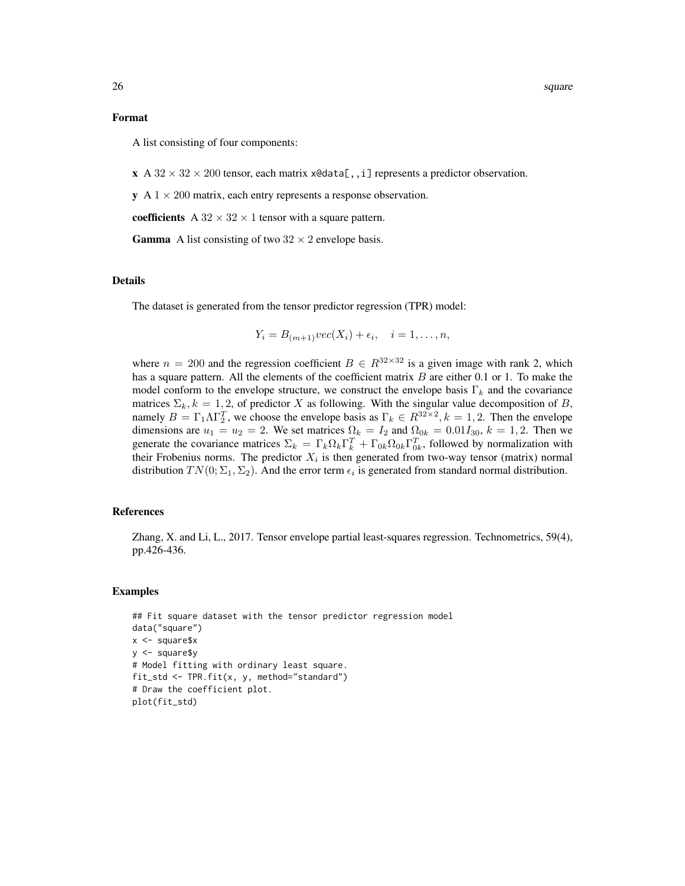#### Format

A list consisting of four components:

 $\mathbf{x} \cdot A \cdot 32 \times 32 \times 200$  tensor, each matrix  $x \cdot 4$  represents a predictor observation.

 $y \text{ A } 1 \times 200$  matrix, each entry represents a response observation.

coefficients A  $32 \times 32 \times 1$  tensor with a square pattern.

**Gamma** A list consisting of two  $32 \times 2$  envelope basis.

#### Details

The dataset is generated from the tensor predictor regression (TPR) model:

$$
Y_i = B_{(m+1)}\text{vec}(X_i) + \epsilon_i, \quad i = 1, \dots, n,
$$

where  $n = 200$  and the regression coefficient  $B \in \mathbb{R}^{32 \times 32}$  is a given image with rank 2, which has a square pattern. All the elements of the coefficient matrix  $B$  are either 0.1 or 1. To make the model conform to the envelope structure, we construct the envelope basis  $\Gamma_k$  and the covariance matrices  $\Sigma_k$ ,  $k = 1, 2$ , of predictor X as following. With the singular value decomposition of B, namely  $B = \Gamma_1 \Lambda \Gamma_2^T$ , we choose the envelope basis as  $\Gamma_k \in R^{32 \times 2}$ ,  $k = 1, 2$ . Then the envelope dimensions are  $u_1 = u_2 = 2$ . We set matrices  $\Omega_k = I_2$  and  $\Omega_{0k} = 0.01I_{30}$ ,  $k = 1, 2$ . Then we generate the covariance matrices  $\Sigma_k = \Gamma_k \Omega_k \Gamma_k^T + \Gamma_{0k} \Omega_{0k} \Gamma_{0k}^T$ , followed by normalization with their Frobenius norms. The predictor  $X_i$  is then generated from two-way tensor (matrix) normal distribution  $TN(0; \Sigma_1, \Sigma_2)$ . And the error term  $\epsilon_i$  is generated from standard normal distribution.

#### References

Zhang, X. and Li, L., 2017. Tensor envelope partial least-squares regression. Technometrics, 59(4), pp.426-436.

```
## Fit square dataset with the tensor predictor regression model
data("square")
x < - square$x
y <- square$y
# Model fitting with ordinary least square.
fit_std <- TPR.fit(x, y, method="standard")
# Draw the coefficient plot.
plot(fit_std)
```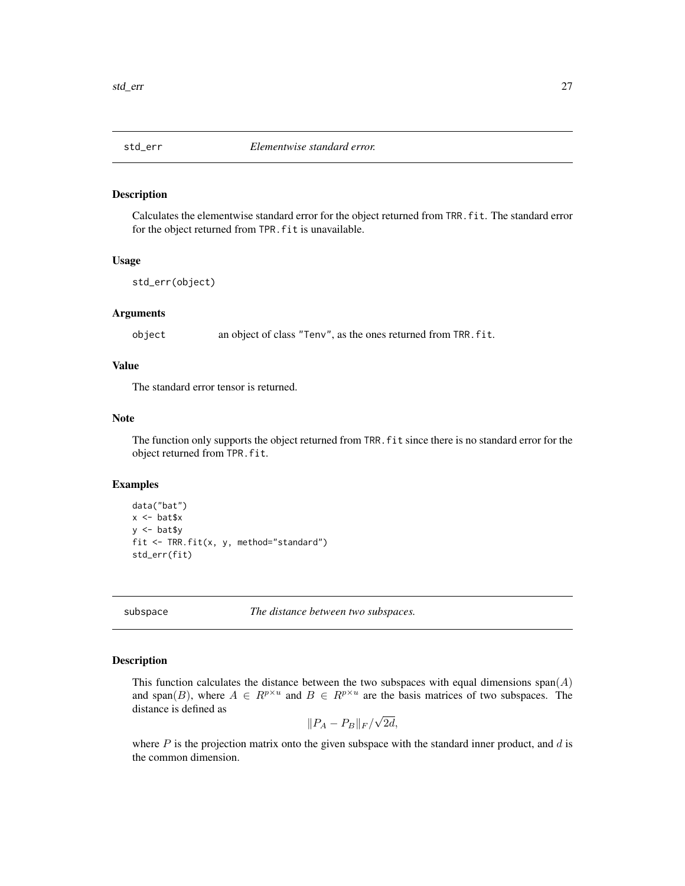<span id="page-26-0"></span>

Calculates the elementwise standard error for the object returned from TRR.fit. The standard error for the object returned from TPR. fit is unavailable.

#### Usage

```
std_err(object)
```
## Arguments

object an object of class "Tenv", as the ones returned from TRR.fit.

## Value

The standard error tensor is returned.

#### Note

The function only supports the object returned from TRR. fit since there is no standard error for the object returned from TPR.fit.

#### Examples

```
data("bat")
x <- bat$x
y \le - bat$y
fit <- TRR.fit(x, y, method="standard")
std_err(fit)
```
<span id="page-26-1"></span>subspace *The distance between two subspaces.*

#### Description

This function calculates the distance between the two subspaces with equal dimensions  $\text{span}(A)$ and span(B), where  $A \in R^{p \times u}$  and  $B \in R^{p \times u}$  are the basis matrices of two subspaces. The distance is defined as √

$$
||P_A - P_B||_F / \sqrt{2d},
$$

where  $P$  is the projection matrix onto the given subspace with the standard inner product, and  $d$  is the common dimension.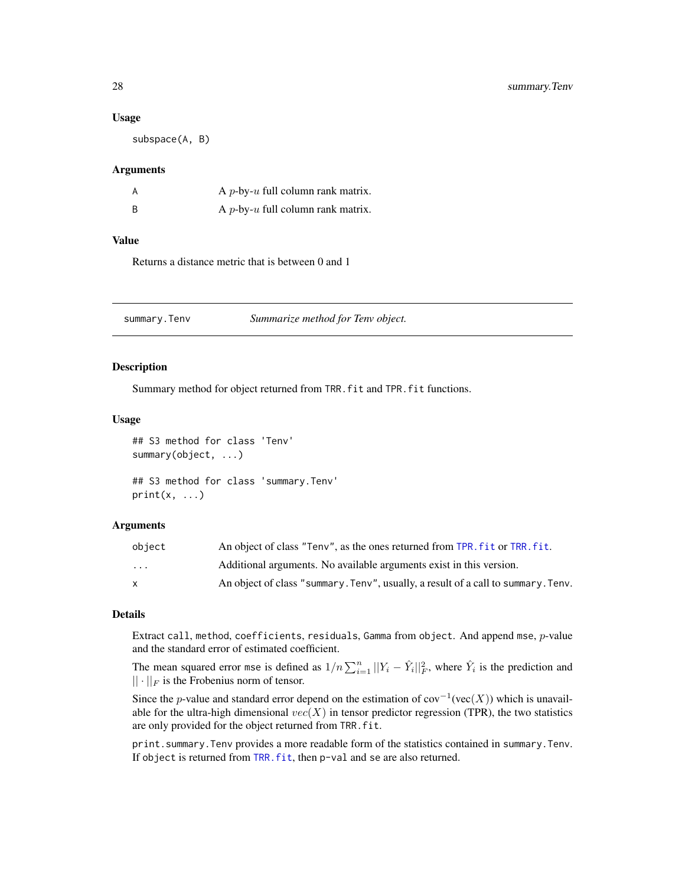#### <span id="page-27-0"></span>Usage

subspace(A, B)

#### Arguments

| А | A <i>p</i> -by- $u$ full column rank matrix. |
|---|----------------------------------------------|
| B | A $p$ -by- $u$ full column rank matrix.      |

## Value

Returns a distance metric that is between 0 and 1

<span id="page-27-1"></span>summary.Tenv *Summarize method for Tenv object.*

#### Description

Summary method for object returned from TRR.fit and TPR.fit functions.

#### Usage

```
## S3 method for class 'Tenv'
summary(object, ...)
## S3 method for class 'summary.Tenv'
print(x, \ldots)
```
#### Arguments

| object       | An object of class "Teny", as the ones returned from TPR, fit or TRR, fit.        |
|--------------|-----------------------------------------------------------------------------------|
| .            | Additional arguments. No available arguments exist in this version.               |
| $\mathbf{x}$ | An object of class "summary. Tenv", usually, a result of a call to summary. Tenv. |

#### Details

Extract call, method, coefficients, residuals, Gamma from object. And append mse,  $p$ -value and the standard error of estimated coefficient.

The mean squared error mse is defined as  $1/n \sum_{i=1}^{n} ||Y_i - \hat{Y}_i||_F^2$ , where  $\hat{Y}_i$  is the prediction and  $|| \cdot ||_F$  is the Frobenius norm of tensor.

Since the *p*-value and standard error depend on the estimation of  $cov^{-1}(vec(X))$  which is unavailable for the ultra-high dimensional  $vec(X)$  in tensor predictor regression (TPR), the two statistics are only provided for the object returned from TRR.fit.

print.summary.Tenv provides a more readable form of the statistics contained in summary.Tenv. If object is returned from TRR. fit, then p-val and se are also returned.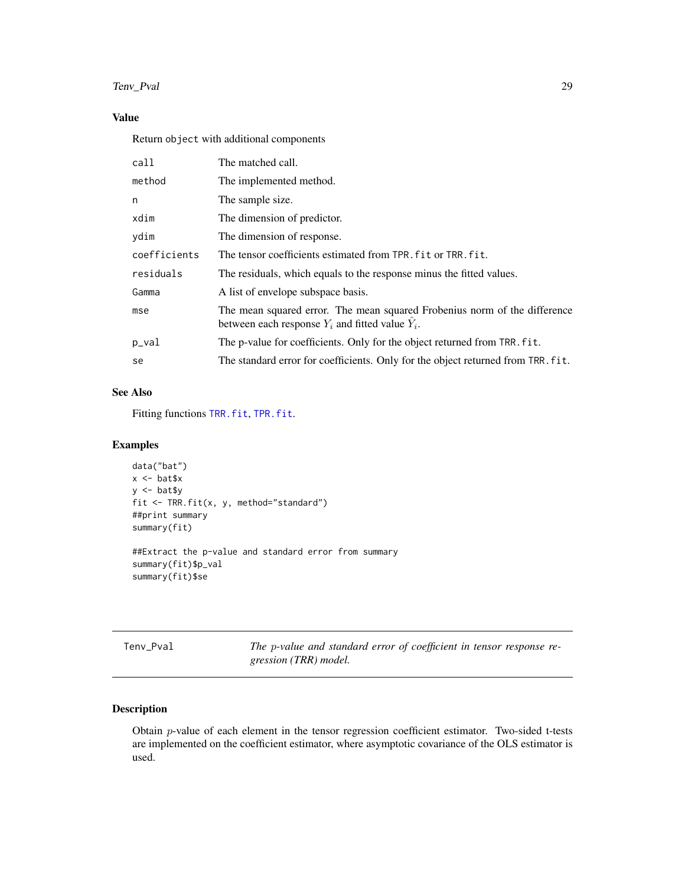## <span id="page-28-0"></span>Tenv\_Pval 29

## Value

Return object with additional components

| call         | The matched call.                                                                                                                 |
|--------------|-----------------------------------------------------------------------------------------------------------------------------------|
| method       | The implemented method.                                                                                                           |
| n            | The sample size.                                                                                                                  |
| xdim         | The dimension of predictor.                                                                                                       |
| vdim         | The dimension of response.                                                                                                        |
| coefficients | The tensor coefficients estimated from TPR. fit or TRR. fit.                                                                      |
| residuals    | The residuals, which equals to the response minus the fitted values.                                                              |
| Gamma        | A list of envelope subspace basis.                                                                                                |
| mse          | The mean squared error. The mean squared Frobenius norm of the difference<br>between each response $Y_i$ and fitted value $Y_i$ . |
| p_val        | The p-value for coefficients. Only for the object returned from TRR. fit.                                                         |
| se           | The standard error for coefficients. Only for the object returned from TRR. fit.                                                  |

## See Also

Fitting functions [TRR.fit](#page-35-1), [TPR.fit](#page-29-1).

## Examples

```
data("bat")
x <- bat$x
y <- bat$y
fit <- TRR.fit(x, y, method="standard")
##print summary
summary(fit)
##Extract the p-value and standard error from summary
summary(fit)$p_val
```
summary(fit)\$se

Tenv\_Pval *The* p*-value and standard error of coefficient in tensor response regression (TRR) model.*

## Description

Obtain p-value of each element in the tensor regression coefficient estimator. Two-sided t-tests are implemented on the coefficient estimator, where asymptotic covariance of the OLS estimator is used.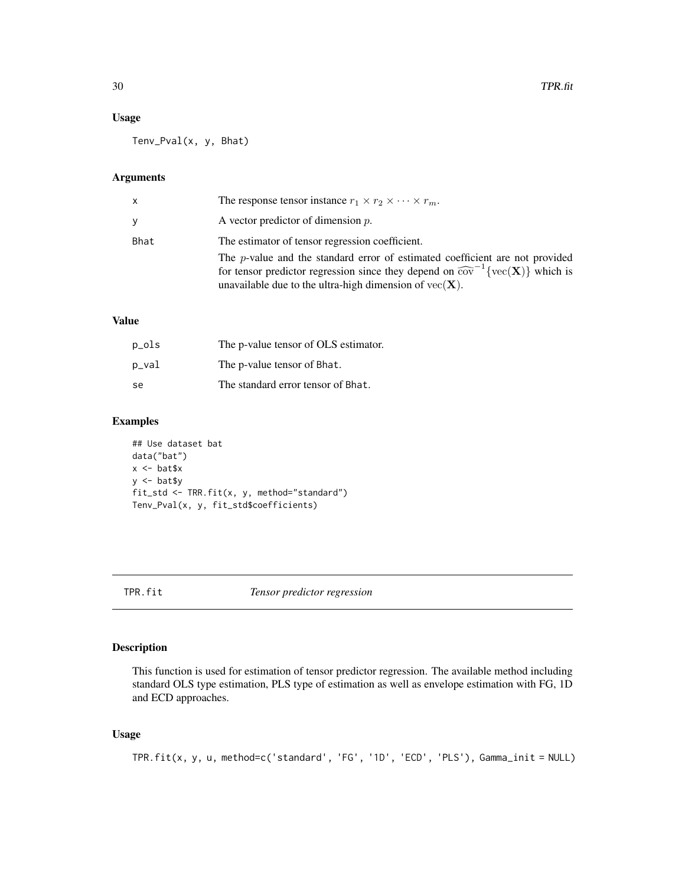## <span id="page-29-0"></span>Usage

Tenv\_Pval(x, y, Bhat)

## Arguments

| x    | The response tensor instance $r_1 \times r_2 \times \cdots \times r_m$ .                                                                                                                                                                                                           |
|------|------------------------------------------------------------------------------------------------------------------------------------------------------------------------------------------------------------------------------------------------------------------------------------|
| V    | A vector predictor of dimension $p$ .                                                                                                                                                                                                                                              |
| Bhat | The estimator of tensor regression coefficient.                                                                                                                                                                                                                                    |
|      | The <i>p</i> -value and the standard error of estimated coefficient are not provided<br>for tensor predictor regression since they depend on $\widehat{\text{cov}}^{-1}\{\text{vec}(\mathbf{X})\}\$ which is<br>unavailable due to the ultra-high dimension of $vec(\mathbf{X})$ . |

## Value

| p_ols | The p-value tensor of OLS estimator. |
|-------|--------------------------------------|
| p_val | The p-value tensor of Bhat.          |
| se    | The standard error tensor of Bhat.   |

## Examples

## Use dataset bat data("bat") x <- bat\$x y <- bat\$y fit\_std <- TRR.fit(x, y, method="standard") Tenv\_Pval(x, y, fit\_std\$coefficients)

<span id="page-29-1"></span>TPR.fit *Tensor predictor regression*

## Description

This function is used for estimation of tensor predictor regression. The available method including standard OLS type estimation, PLS type of estimation as well as envelope estimation with FG, 1D and ECD approaches.

## Usage

```
TPR.fit(x, y, u, method=c('standard', 'FG', '1D', 'ECD', 'PLS'), Gamma_init = NULL)
```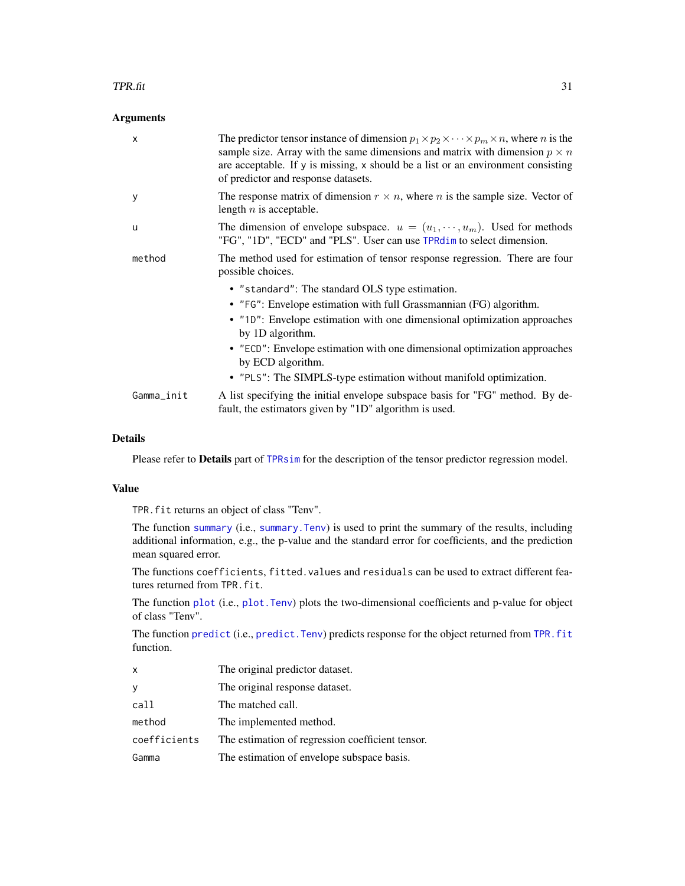#### <span id="page-30-0"></span> $TPR.$ fit 31

#### **Arguments**

| X          | The predictor tensor instance of dimension $p_1 \times p_2 \times \cdots \times p_m \times n$ , where <i>n</i> is the<br>sample size. Array with the same dimensions and matrix with dimension $p \times n$<br>are acceptable. If y is missing, x should be a list or an environment consisting<br>of predictor and response datasets. |
|------------|----------------------------------------------------------------------------------------------------------------------------------------------------------------------------------------------------------------------------------------------------------------------------------------------------------------------------------------|
| У          | The response matrix of dimension $r \times n$ , where <i>n</i> is the sample size. Vector of<br>length $n$ is acceptable.                                                                                                                                                                                                              |
| u          | The dimension of envelope subspace. $u = (u_1, \dots, u_m)$ . Used for methods<br>"FG", "1D", "ECD" and "PLS". User can use TPRdim to select dimension.                                                                                                                                                                                |
| method     | The method used for estimation of tensor response regression. There are four<br>possible choices.                                                                                                                                                                                                                                      |
|            | • "standard": The standard OLS type estimation.                                                                                                                                                                                                                                                                                        |
|            | • "FG": Envelope estimation with full Grassmannian (FG) algorithm.                                                                                                                                                                                                                                                                     |
|            | • "10": Envelope estimation with one dimensional optimization approaches<br>by 1D algorithm.                                                                                                                                                                                                                                           |
|            | • "ECD": Envelope estimation with one dimensional optimization approaches<br>by ECD algorithm.                                                                                                                                                                                                                                         |
|            | • "PLS": The SIMPLS-type estimation without manifold optimization.                                                                                                                                                                                                                                                                     |
| Gamma_init | A list specifying the initial envelope subspace basis for "FG" method. By de-<br>fault, the estimators given by "1D" algorithm is used.                                                                                                                                                                                                |

## Details

Please refer to Details part of [TPRsim](#page-34-1) for the description of the tensor predictor regression model.

## Value

TPR.fit returns an object of class "Tenv".

The function [summary](#page-0-0) (i.e., [summary.Tenv](#page-27-1)) is used to print the summary of the results, including additional information, e.g., the p-value and the standard error for coefficients, and the prediction mean squared error.

The functions coefficients, fitted.values and residuals can be used to extract different features returned from TPR.fit.

The function [plot](#page-0-0) (i.e., [plot.Tenv](#page-20-1)) plots the two-dimensional coefficients and p-value for object of class "Tenv".

The function [predict](#page-0-0) (i.e., predict. Tenv) predicts response for the object returned from TPR. fit function.

x The original predictor dataset. y The original response dataset. call The matched call. method The implemented method. coefficients The estimation of regression coefficient tensor. Gamma The estimation of envelope subspace basis.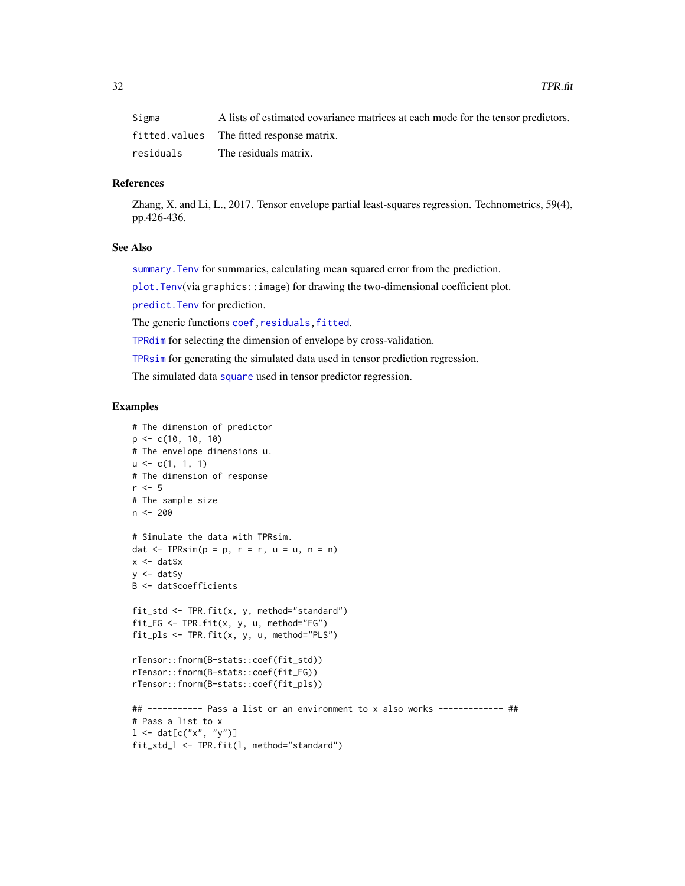<span id="page-31-0"></span>

| Sigma     | A lists of estimated covariance matrices at each mode for the tensor predictors. |
|-----------|----------------------------------------------------------------------------------|
|           | fitted.values The fitted response matrix.                                        |
| residuals | The residuals matrix.                                                            |

## References

Zhang, X. and Li, L., 2017. Tensor envelope partial least-squares regression. Technometrics, 59(4), pp.426-436.

#### See Also

summary. Tenv for summaries, calculating mean squared error from the prediction.

[plot.Tenv](#page-20-1)(via graphics::image) for drawing the two-dimensional coefficient plot.

[predict.Tenv](#page-23-1) for prediction.

The generic functions coef, residuals, fitted.

[TPRdim](#page-32-1) for selecting the dimension of envelope by cross-validation.

[TPRsim](#page-34-1) for generating the simulated data used in tensor prediction regression.

The simulated data [square](#page-24-1) used in tensor predictor regression.

```
# The dimension of predictor
p \leftarrow c(10, 10, 10)# The envelope dimensions u.
u \leftarrow c(1, 1, 1)# The dimension of response
r < -5# The sample size
n < -200# Simulate the data with TPRsim.
dat \leq TPRsim(p = p, r = r, u = u, n = n)
x < - dat$x
y <- dat$y
B <- dat$coefficients
fit_std <- TPR.fit(x, y, method="standard")
fit_FG <- TPR.fit(x, y, u, method="FG")
fit_pls <- TPR.fit(x, y, u, method="PLS")
rTensor::fnorm(B-stats::coef(fit_std))
rTensor::fnorm(B-stats::coef(fit_FG))
rTensor::fnorm(B-stats::coef(fit_pls))
## ----------- Pass a list or an environment to x also works ------------- ##
# Pass a list to x
1 \le - \text{dat}[c("x", "y")]fit_std_l <- TPR.fit(l, method="standard")
```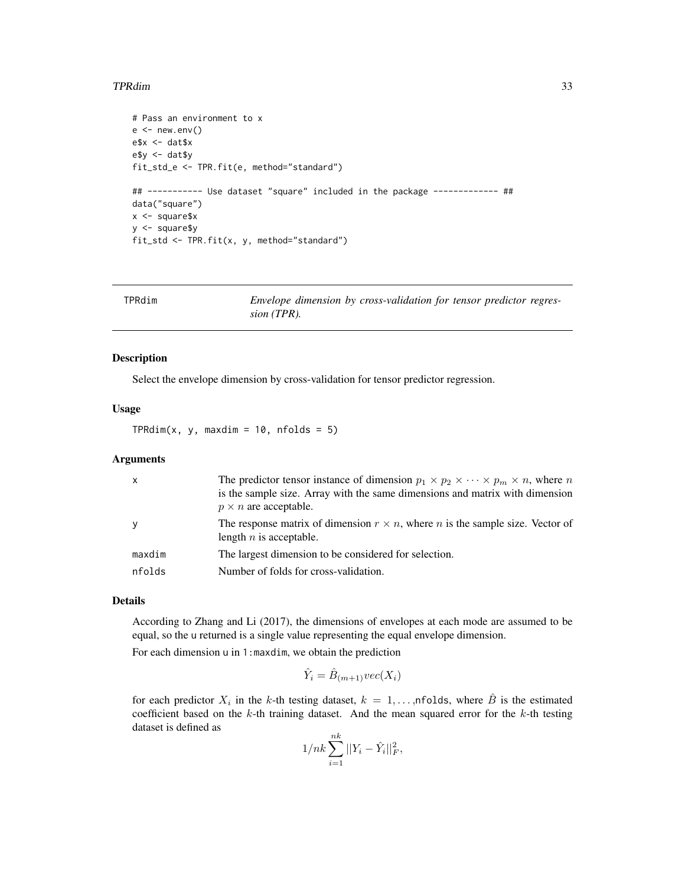#### <span id="page-32-0"></span>TPRdim 33

```
# Pass an environment to x
e < - new.env()
e$x <- dat$x
e$y <- dat$y
fit_std_e <- TPR.fit(e, method="standard")
## ----------- Use dataset "square" included in the package ------------- ##
data("square")
x <- square$x
y <- square$y
fit_std <- TPR.fit(x, y, method="standard")
```
<span id="page-32-1"></span>

| TPRdim | Envelope dimension by cross-validation for tensor predictor regres- |
|--------|---------------------------------------------------------------------|
|        | sion (TPR).                                                         |

#### Description

Select the envelope dimension by cross-validation for tensor predictor regression.

#### Usage

 $TPRdim(x, y, maxdim = 10, nfolds = 5)$ 

## Arguments

| $\boldsymbol{\mathsf{x}}$ | The predictor tensor instance of dimension $p_1 \times p_2 \times \cdots \times p_m \times n$ , where n<br>is the sample size. Array with the same dimensions and matrix with dimension<br>$p \times n$ are acceptable. |
|---------------------------|-------------------------------------------------------------------------------------------------------------------------------------------------------------------------------------------------------------------------|
| y                         | The response matrix of dimension $r \times n$ , where <i>n</i> is the sample size. Vector of<br>length $n$ is acceptable.                                                                                               |
| maxdim                    | The largest dimension to be considered for selection.                                                                                                                                                                   |
| nfolds                    | Number of folds for cross-validation.                                                                                                                                                                                   |

## Details

According to Zhang and Li (2017), the dimensions of envelopes at each mode are assumed to be equal, so the u returned is a single value representing the equal envelope dimension.

For each dimension u in 1:maxdim, we obtain the prediction

$$
\hat{Y}_i = \hat{B}_{(m+1)}\text{vec}(X_i)
$$

for each predictor  $X_i$  in the k-th testing dataset,  $k = 1, \ldots, n$  folds, where  $\hat{B}$  is the estimated coefficient based on the  $k$ -th training dataset. And the mean squared error for the  $k$ -th testing dataset is defined as nk

$$
1/nk\sum_{i=1}^{n}||Y_i - \hat{Y}_i||_F^2,
$$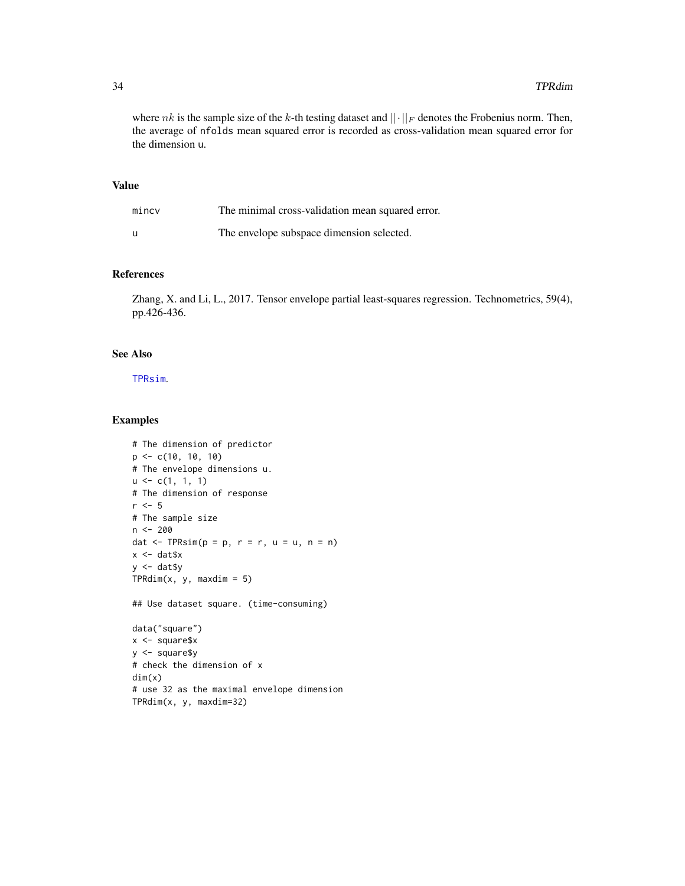where nk is the sample size of the k-th testing dataset and  $||\cdot||_F$  denotes the Frobenius norm. Then, the average of nfolds mean squared error is recorded as cross-validation mean squared error for the dimension u.

## Value

| mincv | The minimal cross-validation mean squared error. |
|-------|--------------------------------------------------|
| u     | The envelope subspace dimension selected.        |

#### References

Zhang, X. and Li, L., 2017. Tensor envelope partial least-squares regression. Technometrics, 59(4), pp.426-436.

## See Also

[TPRsim](#page-34-1).

```
# The dimension of predictor
p <- c(10, 10, 10)
# The envelope dimensions u.
u \leftarrow c(1, 1, 1)# The dimension of response
r \leq -5# The sample size
n <- 200
dat \leq TPRsim(p = p, r = r, u = u, n = n)
x <- dat$x
y <- dat$y
TPRdim(x, y, maxdim = 5)## Use dataset square. (time-consuming)
data("square")
x < - square$x
y <- square$y
# check the dimension of x
dim(x)
# use 32 as the maximal envelope dimension
TPRdim(x, y, maxdim=32)
```
<span id="page-33-0"></span>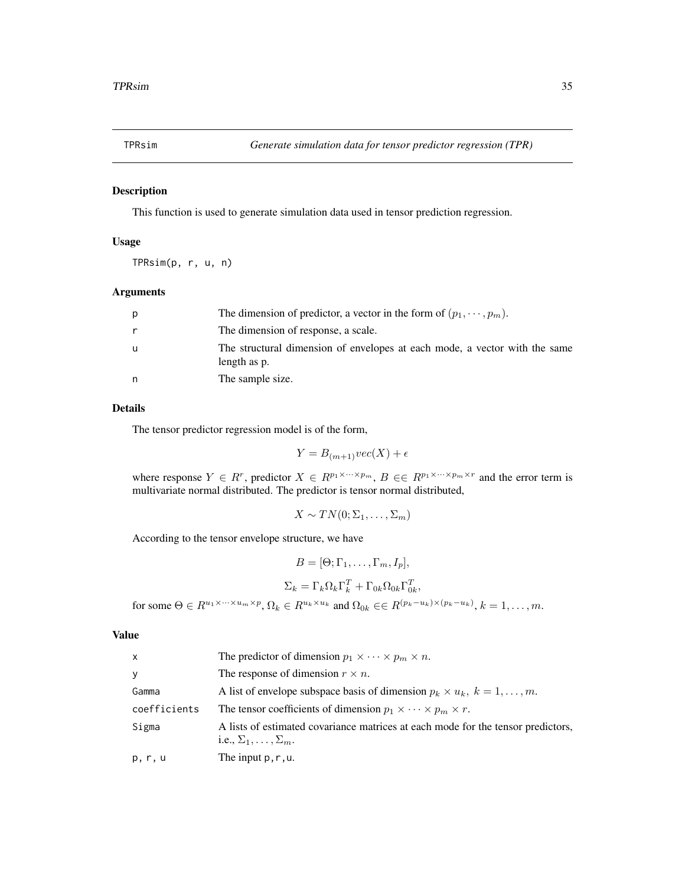<span id="page-34-1"></span><span id="page-34-0"></span>

This function is used to generate simulation data used in tensor prediction regression.

## Usage

TPRsim(p, r, u, n)

## Arguments

| р | The dimension of predictor, a vector in the form of $(p_1, \dots, p_m)$ .                  |
|---|--------------------------------------------------------------------------------------------|
| r | The dimension of response, a scale.                                                        |
| u | The structural dimension of envelopes at each mode, a vector with the same<br>length as p. |
| n | The sample size.                                                                           |

#### Details

The tensor predictor regression model is of the form,

$$
Y = B_{(m+1)} \text{vec}(X) + \epsilon
$$

where response  $Y \in R^r$ , predictor  $X \in R^{p_1 \times \cdots \times p_m}$ ,  $B \in R^{p_1 \times \cdots \times p_m \times r}$  and the error term is multivariate normal distributed. The predictor is tensor normal distributed,

$$
X \sim TN(0; \Sigma_1, \ldots, \Sigma_m)
$$

According to the tensor envelope structure, we have

$$
B = [\Theta; \Gamma_1, \dots, \Gamma_m, I_p],
$$
  
\n
$$
\Sigma_k = \Gamma_k \Omega_k \Gamma_k^T + \Gamma_{0k} \Omega_{0k} \Gamma_{0k}^T,
$$
  
\nfor some  $\Theta \in R^{u_1 \times \dots \times u_m \times p}, \Omega_k \in R^{u_k \times u_k}$  and  $\Omega_{0k} \in \in R^{(p_k - u_k) \times (p_k - u_k)}, k = 1, \dots, m.$ 

#### Value

| $\mathsf{x}$ | The predictor of dimension $p_1 \times \cdots \times p_m \times n$ .                                                     |
|--------------|--------------------------------------------------------------------------------------------------------------------------|
| У            | The response of dimension $r \times n$ .                                                                                 |
| Gamma        | A list of envelope subspace basis of dimension $p_k \times u_k$ , $k = 1, \ldots, m$ .                                   |
| coefficients | The tensor coefficients of dimension $p_1 \times \cdots \times p_m \times r$ .                                           |
| Sigma        | A lists of estimated covariance matrices at each mode for the tensor predictors,<br>i.e., $\Sigma_1, \ldots, \Sigma_m$ . |
| p, r, u      | The input $p, r, u$ .                                                                                                    |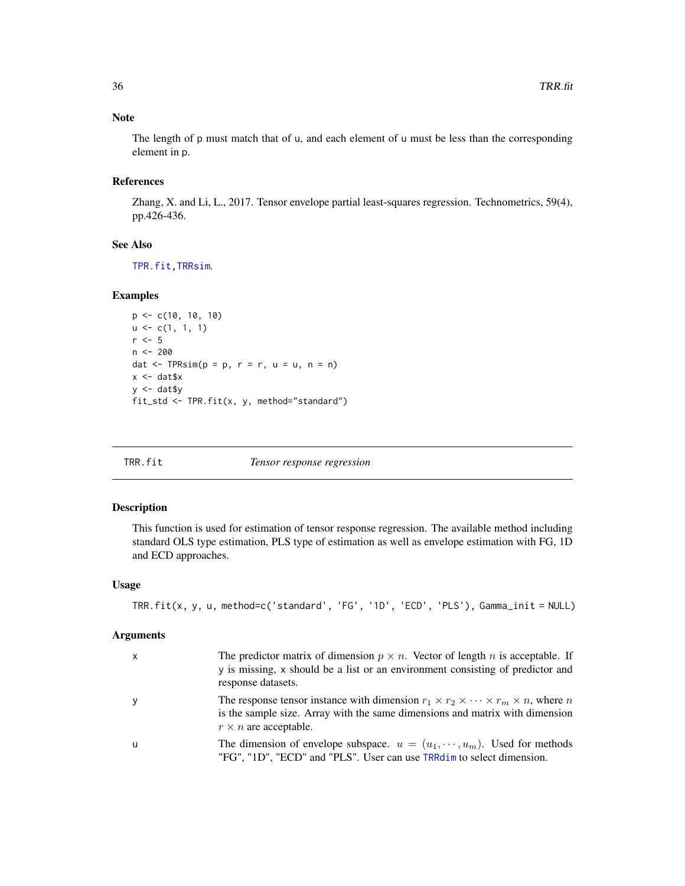## Note

The length of p must match that of u, and each element of u must be less than the corresponding element in p.

## References

Zhang, X. and Li, L., 2017. Tensor envelope partial least-squares regression. Technometrics, 59(4), pp.426-436.

#### See Also

[TPR.fit](#page-29-1)[,TRRsim](#page-40-1).

## Examples

```
p \leq -c(10, 10, 10)u \leftarrow c(1, 1, 1)r <- 5n <- 200
dat \leq TPRsim(p = p, r = r, u = u, n = n)
x <- dat$x
y \leftarrow \text{dat$y}fit_std <- TPR.fit(x, y, method="standard")
```
<span id="page-35-1"></span>

**Tensor response regression** 

#### Description

This function is used for estimation of tensor response regression. The available method including standard OLS type estimation, PLS type of estimation as well as envelope estimation with FG, 1D and ECD approaches.

#### Usage

```
TRR.fit(x, y, u, method=c('standard', 'FG', '1D', 'ECD', 'PLS'), Gamma_init = NULL)
```
#### Arguments

| $\mathsf{x}$ | The predictor matrix of dimension $p \times n$ . Vector of length n is acceptable. If<br>y is missing, x should be a list or an environment consisting of predictor and<br>response datasets.                            |
|--------------|--------------------------------------------------------------------------------------------------------------------------------------------------------------------------------------------------------------------------|
| y            | The response tensor instance with dimension $r_1 \times r_2 \times \cdots \times r_m \times n$ , where n<br>is the sample size. Array with the same dimensions and matrix with dimension<br>$r \times n$ are acceptable. |
| -u           | The dimension of envelope subspace. $u = (u_1, \dots, u_m)$ . Used for methods<br>"FG", "1D", "ECD" and "PLS". User can use TRRdim to select dimension.                                                                  |

<span id="page-35-0"></span>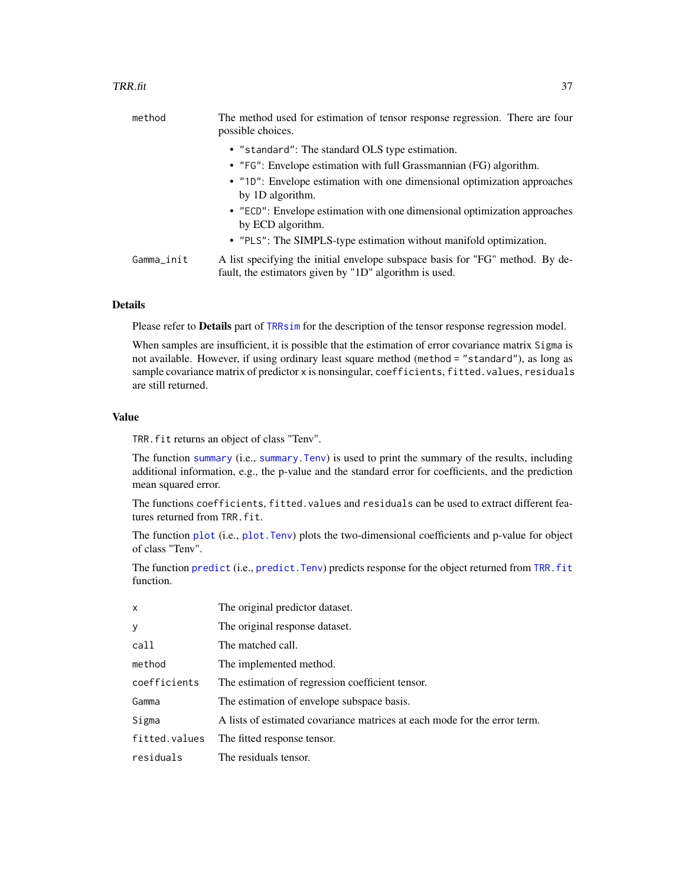<span id="page-36-0"></span>

| method     | The method used for estimation of tensor response regression. There are four<br>possible choices.                                       |
|------------|-----------------------------------------------------------------------------------------------------------------------------------------|
|            | • "standard": The standard OLS type estimation.                                                                                         |
|            | • "FG": Envelope estimation with full Grassmannian (FG) algorithm.                                                                      |
|            | • "10": Envelope estimation with one dimensional optimization approaches<br>by 1D algorithm.                                            |
|            | • "ECD": Envelope estimation with one dimensional optimization approaches<br>by ECD algorithm.                                          |
|            | • "PLS": The SIMPLS-type estimation without manifold optimization.                                                                      |
| Gamma_init | A list specifying the initial envelope subspace basis for "FG" method. By de-<br>fault, the estimators given by "1D" algorithm is used. |

## Details

Please refer to Details part of [TRRsim](#page-40-1) for the description of the tensor response regression model.

When samples are insufficient, it is possible that the estimation of error covariance matrix Sigma is not available. However, if using ordinary least square method (method = "standard"), as long as sample covariance matrix of predictor x is nonsingular, coefficients, fitted.values, residuals are still returned.

## Value

TRR.fit returns an object of class "Tenv".

The function [summary](#page-0-0) (i.e., [summary.Tenv](#page-27-1)) is used to print the summary of the results, including additional information, e.g., the p-value and the standard error for coefficients, and the prediction mean squared error.

The functions coefficients, fitted.values and residuals can be used to extract different features returned from TRR.fit.

The function [plot](#page-0-0) (i.e., [plot.Tenv](#page-20-1)) plots the two-dimensional coefficients and p-value for object of class "Tenv".

The function [predict](#page-0-0) (i.e., predict. Tenv) predicts response for the object returned from TRR. fit function.

| x             | The original predictor dataset.                                           |
|---------------|---------------------------------------------------------------------------|
| у             | The original response dataset.                                            |
| call          | The matched call.                                                         |
| method        | The implemented method.                                                   |
| coefficients  | The estimation of regression coefficient tensor.                          |
| Gamma         | The estimation of envelope subspace basis.                                |
| Sigma         | A lists of estimated covariance matrices at each mode for the error term. |
| fitted.values | The fitted response tensor.                                               |
| residuals     | The residuals tensor.                                                     |
|               |                                                                           |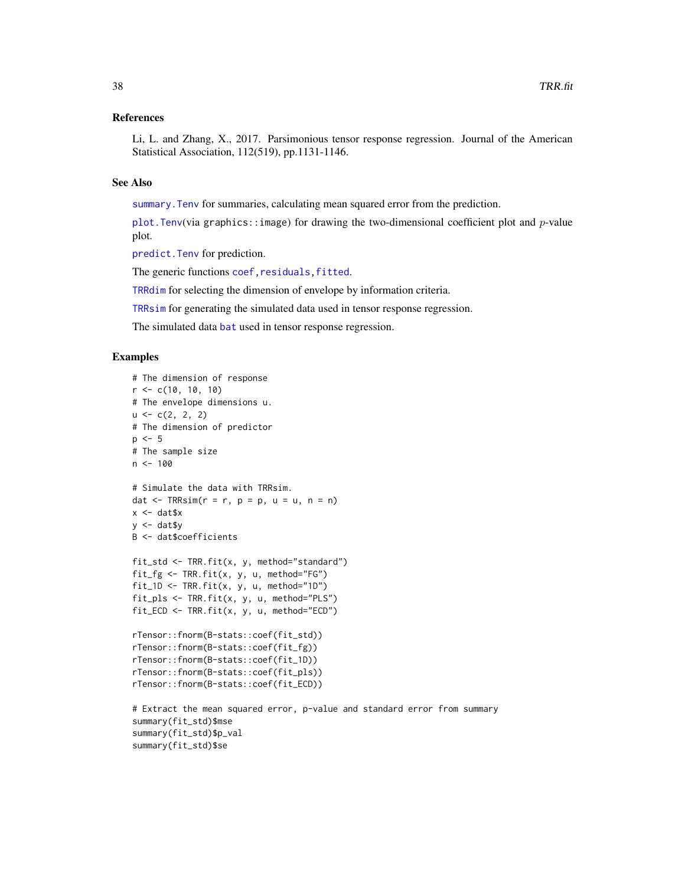#### <span id="page-37-0"></span>References

Li, L. and Zhang, X., 2017. Parsimonious tensor response regression. Journal of the American Statistical Association, 112(519), pp.1131-1146.

#### See Also

summary. Tenv for summaries, calculating mean squared error from the prediction.

plot. Tenv(via graphics::image) for drawing the two-dimensional coefficient plot and  $p$ -value plot.

[predict.Tenv](#page-23-1) for prediction.

The generic functions coef, residuals, fitted.

[TRRdim](#page-38-1) for selecting the dimension of envelope by information criteria.

[TRRsim](#page-40-1) for generating the simulated data used in tensor response regression.

The simulated data [bat](#page-3-1) used in tensor response regression.

```
# The dimension of response
r \leq -c(10, 10, 10)# The envelope dimensions u.
u \leftarrow c(2, 2, 2)# The dimension of predictor
p \le -5# The sample size
n < -100# Simulate the data with TRRsim.
dat \leq TRRsim(r = r, p = p, u = u, n = n)
x < - dat$x
y \le - dat$y
B <- dat$coefficients
fit_std <- TRR.fit(x, y, method="standard")
fit_fg <- TRR.fit(x, y, u, method="FG")
fit_1D <- TRR.fit(x, y, u, \text{ method}="1D")fit_pls <- TRR.fit(x, y, u, method="PLS")
fit\_ECD \leq -TRR.fit(x, y, u, method="ECD")rTensor::fnorm(B-stats::coef(fit_std))
rTensor::fnorm(B-stats::coef(fit_fg))
rTensor::fnorm(B-stats::coef(fit_1D))
rTensor::fnorm(B-stats::coef(fit_pls))
rTensor::fnorm(B-stats::coef(fit_ECD))
# Extract the mean squared error, p-value and standard error from summary
summary(fit_std)$mse
summary(fit_std)$p_val
summary(fit_std)$se
```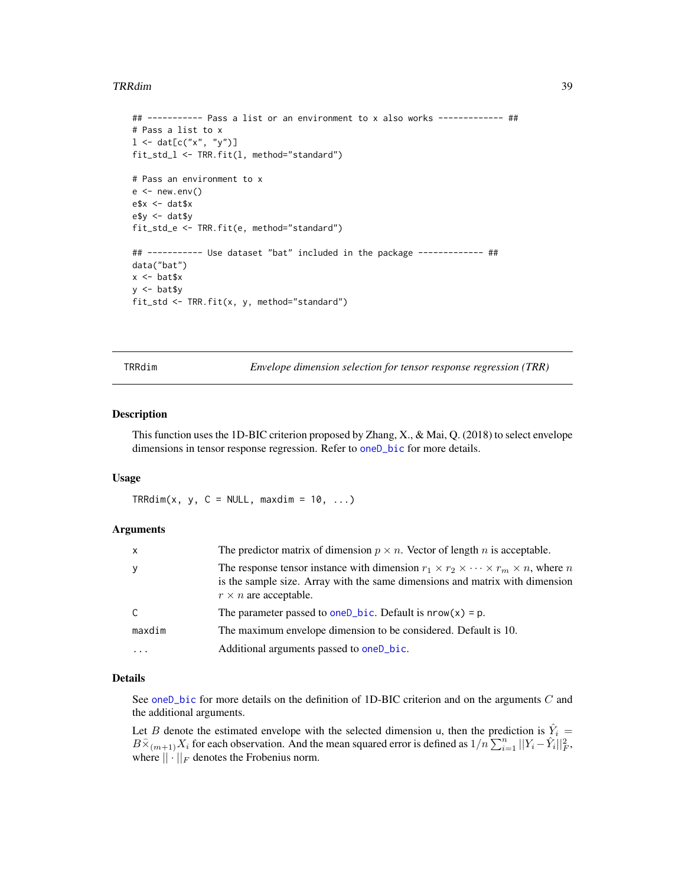#### <span id="page-38-0"></span>TRRdim 39

```
## ----------- Pass a list or an environment to x also works ------------- ##
# Pass a list to x
1 < - dat[c("x", "y")]
fit_std_l <- TRR.fit(l, method="standard")
# Pass an environment to x
e < - new.env()
e$x <- dat$x
e$y <- dat$y
fit_std_e <- TRR.fit(e, method="standard")
## ----------- Use dataset "bat" included in the package ------------- ##
data("bat")
x <- bat$x
y <- bat$y
fit_std <- TRR.fit(x, y, method="standard")
```
<span id="page-38-1"></span>TRRdim *Envelope dimension selection for tensor response regression (TRR)*

## Description

This function uses the 1D-BIC criterion proposed by Zhang, X., & Mai, Q. (2018) to select envelope dimensions in tensor response regression. Refer to [oneD\\_bic](#page-13-1) for more details.

#### Usage

 $TRRdim(x, y, C = NULL, maxdim = 10, ...)$ 

## Arguments

| x            | The predictor matrix of dimension $p \times n$ . Vector of length <i>n</i> is acceptable.                                                                                                                                |
|--------------|--------------------------------------------------------------------------------------------------------------------------------------------------------------------------------------------------------------------------|
| y            | The response tensor instance with dimension $r_1 \times r_2 \times \cdots \times r_m \times n$ , where n<br>is the sample size. Array with the same dimensions and matrix with dimension<br>$r \times n$ are acceptable. |
| $\mathsf{C}$ | The parameter passed to oneD_bic. Default is $nrow(x) = p$ .                                                                                                                                                             |
| maxdim       | The maximum envelope dimension to be considered. Default is 10.                                                                                                                                                          |
| $\ddots$ .   | Additional arguments passed to oneD_bic.                                                                                                                                                                                 |

#### Details

See oneD<sub>-</sub>bic for more details on the definition of 1D-BIC criterion and on the arguments  $C$  and the additional arguments.

Let B denote the estimated envelope with the selected dimension u, then the prediction is  $\hat{Y}_i$  =  $B\overline{\times}_{(m+1)}X_i$  for each observation. And the mean squared error is defined as  $1/n\sum_{i=1}^n||Y_i-\hat{Y}_i||_F^2$ , where  $\|\cdot\|_F$  denotes the Frobenius norm.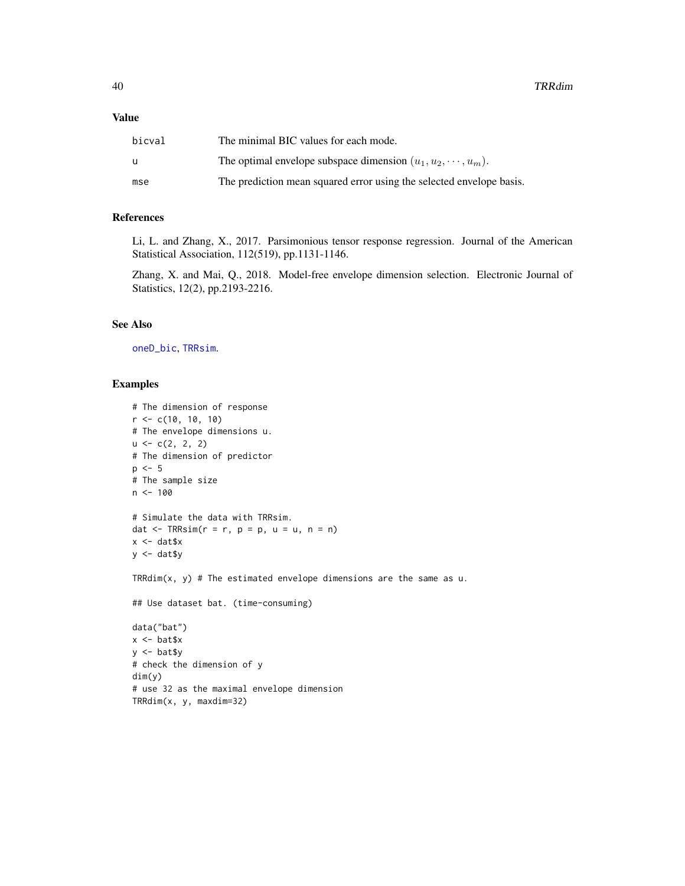#### <span id="page-39-0"></span>Value

| bicval | The minimal BIC values for each mode.                                |
|--------|----------------------------------------------------------------------|
| u      | The optimal envelope subspace dimension $(u_1, u_2, \dots, u_m)$ .   |
| mse    | The prediction mean squared error using the selected envelope basis. |

#### References

Li, L. and Zhang, X., 2017. Parsimonious tensor response regression. Journal of the American Statistical Association, 112(519), pp.1131-1146.

Zhang, X. and Mai, Q., 2018. Model-free envelope dimension selection. Electronic Journal of Statistics, 12(2), pp.2193-2216.

#### See Also

[oneD\\_bic](#page-13-1), [TRRsim](#page-40-1).

```
# The dimension of response
r \leq -c(10, 10, 10)# The envelope dimensions u.
u \leftarrow c(2, 2, 2)# The dimension of predictor
p \le -5# The sample size
n < -100# Simulate the data with TRRsim.
dat \leq TRRsim(r = r, p = p, u = u, n = n)
x <- dat$x
y <- dat$y
TRRdim(x, y) # The estimated envelope dimensions are the same as u.
## Use dataset bat. (time-consuming)
data("bat")
x < - bat$x
y <- bat$y
# check the dimension of y
dim(y)
# use 32 as the maximal envelope dimension
TRRdim(x, y, maxdim=32)
```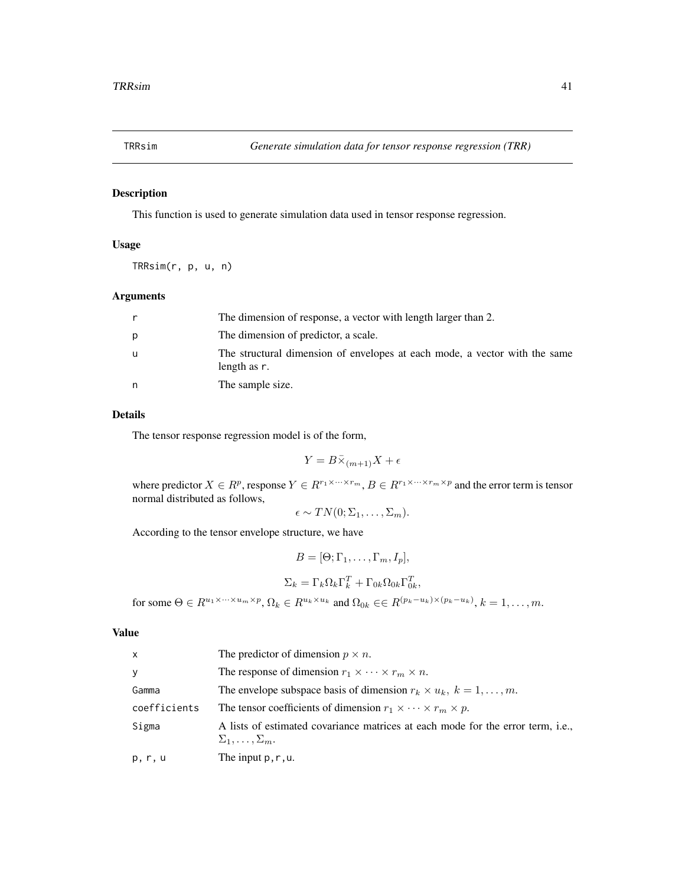<span id="page-40-1"></span><span id="page-40-0"></span>

This function is used to generate simulation data used in tensor response regression.

## Usage

TRRsim(r, p, u, n)

## Arguments

|   | The dimension of response, a vector with length larger than 2.                             |
|---|--------------------------------------------------------------------------------------------|
| р | The dimension of predictor, a scale.                                                       |
| u | The structural dimension of envelopes at each mode, a vector with the same<br>length as r. |
| n | The sample size.                                                                           |

## Details

The tensor response regression model is of the form,

$$
Y = B\bar{\times}_{(m+1)}X + \epsilon
$$

where predictor  $X \in R^p$ , response  $Y \in R^{r_1 \times \cdots \times r_m}$ ,  $B \in R^{r_1 \times \cdots \times r_m \times p}$  and the error term is tensor normal distributed as follows,

$$
\epsilon \sim TN(0; \Sigma_1, \ldots, \Sigma_m).
$$

According to the tensor envelope structure, we have

$$
B = [\Theta; \Gamma_1, \dots, \Gamma_m, I_p],
$$
  
\n
$$
\Sigma_k = \Gamma_k \Omega_k \Gamma_k^T + \Gamma_{0k} \Omega_{0k} \Gamma_{0k}^T,
$$
  
\nfor some  $\Theta \in R^{u_1 \times \dots \times u_m \times p}, \Omega_k \in R^{u_k \times u_k}$  and  $\Omega_{0k} \in \in R^{(p_k - u_k) \times (p_k - u_k)}, k = 1, \dots, m.$ 

#### Value

| $\mathsf{x}$ | The predictor of dimension $p \times n$ .                                                                      |
|--------------|----------------------------------------------------------------------------------------------------------------|
| y            | The response of dimension $r_1 \times \cdots \times r_m \times n$ .                                            |
| Gamma        | The envelope subspace basis of dimension $r_k \times u_k$ , $k = 1, , m$ .                                     |
| coefficients | The tensor coefficients of dimension $r_1 \times \cdots \times r_m \times p$ .                                 |
| Sigma        | A lists of estimated covariance matrices at each mode for the error term, i.e.,<br>$\Sigma_1,\ldots,\Sigma_m.$ |
| p, r, u      | The input $p, r, u$ .                                                                                          |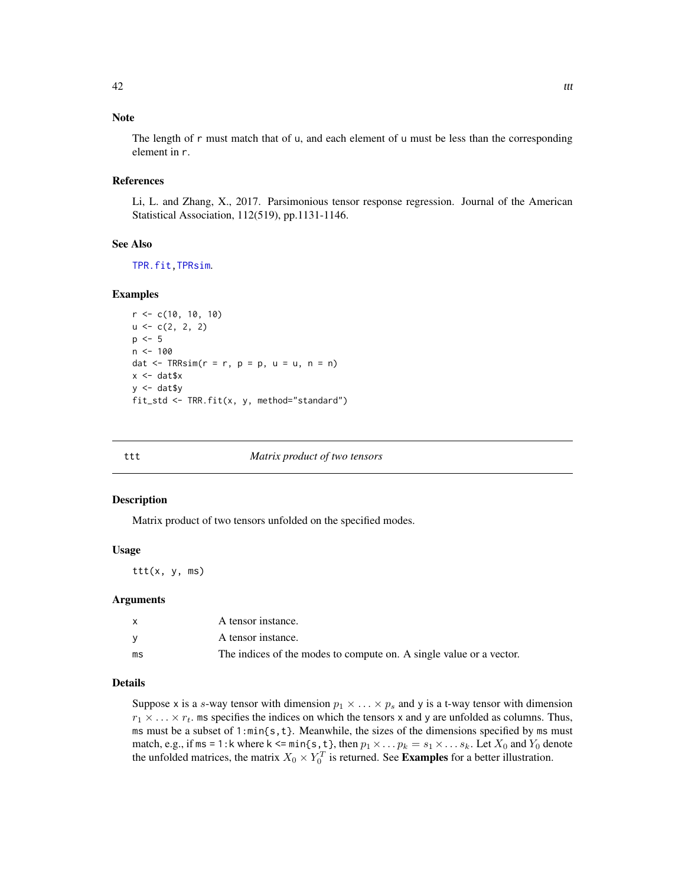## <span id="page-41-0"></span>Note

The length of r must match that of u, and each element of u must be less than the corresponding element in r.

#### References

Li, L. and Zhang, X., 2017. Parsimonious tensor response regression. Journal of the American Statistical Association, 112(519), pp.1131-1146.

#### See Also

[TPR.fit](#page-29-1)[,TPRsim](#page-34-1).

## Examples

```
r <- c(10, 10, 10)
u \leftarrow c(2, 2, 2)p \le -5n < -100dat \leq TRRsim(r = r, p = p, u = u, n = n)
x <- dat$x
y \le - dat$y
fit_std <- TRR.fit(x, y, method="standard")
```
#### ttt *Matrix product of two tensors*

#### Description

Matrix product of two tensors unfolded on the specified modes.

#### Usage

ttt(x, y, ms)

#### Arguments

|    | A tensor instance.                                                  |
|----|---------------------------------------------------------------------|
|    | A tensor instance.                                                  |
| ms | The indices of the modes to compute on. A single value or a vector. |

## Details

Suppose x is a s-way tensor with dimension  $p_1 \times \ldots \times p_s$  and y is a t-way tensor with dimension  $r_1 \times \ldots \times r_t$ , ms specifies the indices on which the tensors x and y are unfolded as columns. Thus, ms must be a subset of 1:min{s,t}. Meanwhile, the sizes of the dimensions specified by ms must match, e.g., if ms = 1:k where k <= min{s, t}, then  $p_1 \times \ldots p_k = s_1 \times \ldots s_k$ . Let  $X_0$  and  $Y_0$  denote the unfolded matrices, the matrix  $X_0 \times Y_0^T$  is returned. See **Examples** for a better illustration.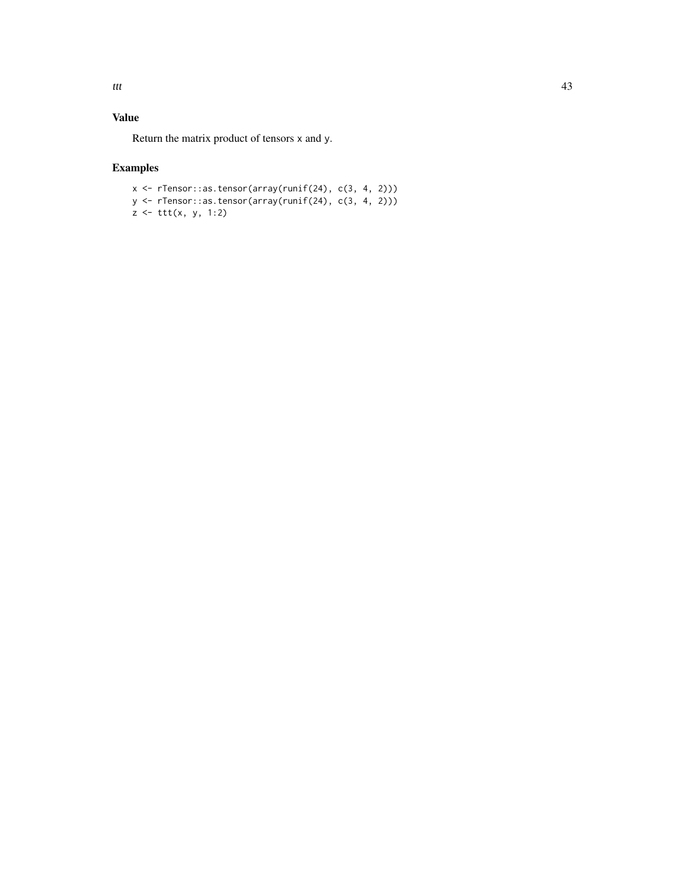## Value

Return the matrix product of tensors x and y.

## Examples

x <- rTensor::as.tensor(array(runif(24), c(3, 4, 2))) y <- rTensor::as.tensor(array(runif(24), c(3, 4, 2))) z <- ttt(x, y, 1:2)